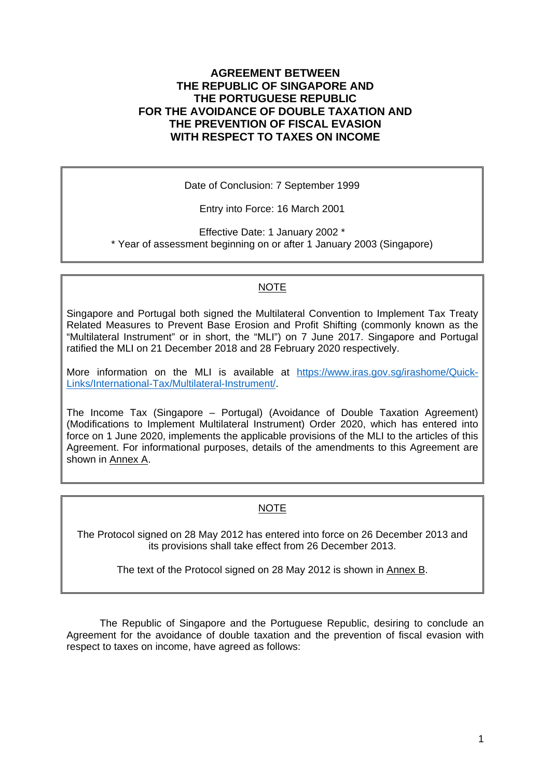## **AGREEMENT BETWEEN THE REPUBLIC OF SINGAPORE AND THE PORTUGUESE REPUBLIC FOR THE AVOIDANCE OF DOUBLE TAXATION AND THE PREVENTION OF FISCAL EVASION WITH RESPECT TO TAXES ON INCOME**

Date of Conclusion: 7 September 1999

Entry into Force: 16 March 2001

Effective Date: 1 January 2002 \* \* Year of assessment beginning on or after 1 January 2003 (Singapore)

## NOTE

Singapore and Portugal both signed the Multilateral Convention to Implement Tax Treaty Related Measures to Prevent Base Erosion and Profit Shifting (commonly known as the "Multilateral Instrument" or in short, the "MLI") on 7 June 2017. Singapore and Portugal ratified the MLI on 21 December 2018 and 28 February 2020 respectively.

More information on the MLI is available at [https://www.iras.gov.sg/irashome/Quick-](https://www.iras.gov.sg/irashome/Quick-Links/International-Tax/Multilateral-Instrument/)[Links/International-Tax/Multilateral-Instrument/.](https://www.iras.gov.sg/irashome/Quick-Links/International-Tax/Multilateral-Instrument/)

The Income Tax (Singapore – Portugal) (Avoidance of Double Taxation Agreement) (Modifications to Implement Multilateral Instrument) Order 2020, which has entered into force on 1 June 2020, implements the applicable provisions of the MLI to the articles of this Agreement. For informational purposes, details of the amendments to this Agreement are shown in Annex A.

# NOTE

The Protocol signed on 28 May 2012 has entered into force on 26 December 2013 and its provisions shall take effect from 26 December 2013.

The text of the Protocol signed on 28 May 2012 is shown in Annex B.

The Republic of Singapore and the Portuguese Republic, desiring to conclude an Agreement for the avoidance of double taxation and the prevention of fiscal evasion with respect to taxes on income, have agreed as follows: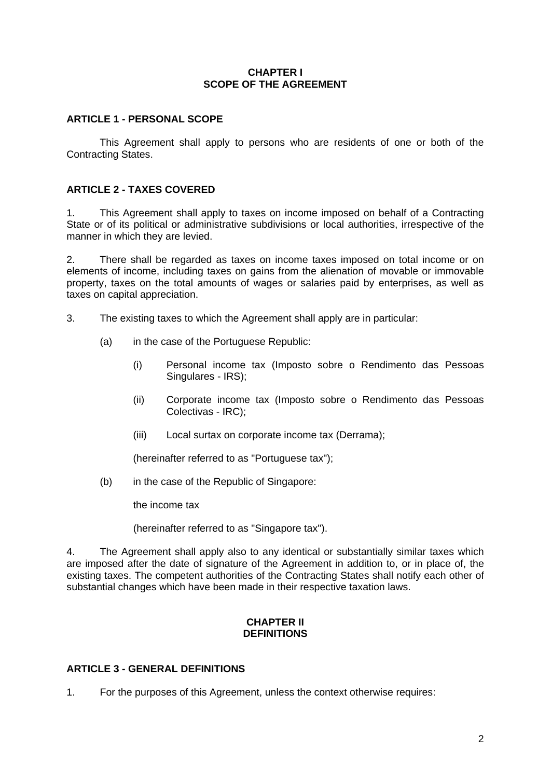## **CHAPTER I SCOPE OF THE AGREEMENT**

#### **ARTICLE 1 - PERSONAL SCOPE**

This Agreement shall apply to persons who are residents of one or both of the Contracting States.

## **ARTICLE 2 - TAXES COVERED**

1. This Agreement shall apply to taxes on income imposed on behalf of a Contracting State or of its political or administrative subdivisions or local authorities, irrespective of the manner in which they are levied.

2. There shall be regarded as taxes on income taxes imposed on total income or on elements of income, including taxes on gains from the alienation of movable or immovable property, taxes on the total amounts of wages or salaries paid by enterprises, as well as taxes on capital appreciation.

- 3. The existing taxes to which the Agreement shall apply are in particular:
	- (a) in the case of the Portuguese Republic:
		- (i) Personal income tax (Imposto sobre o Rendimento das Pessoas Singulares - IRS);
		- (ii) Corporate income tax (Imposto sobre o Rendimento das Pessoas Colectivas - IRC);
		- (iii) Local surtax on corporate income tax (Derrama);

(hereinafter referred to as "Portuguese tax");

(b) in the case of the Republic of Singapore:

the income tax

(hereinafter referred to as "Singapore tax").

4. The Agreement shall apply also to any identical or substantially similar taxes which are imposed after the date of signature of the Agreement in addition to, or in place of, the existing taxes. The competent authorities of the Contracting States shall notify each other of substantial changes which have been made in their respective taxation laws.

#### **CHAPTER II DEFINITIONS**

#### **ARTICLE 3 - GENERAL DEFINITIONS**

1. For the purposes of this Agreement, unless the context otherwise requires: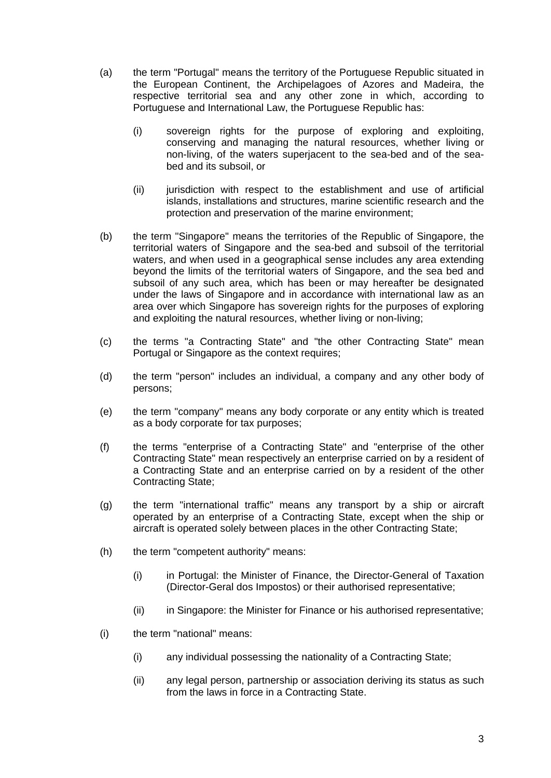- (a) the term "Portugal" means the territory of the Portuguese Republic situated in the European Continent, the Archipelagoes of Azores and Madeira, the respective territorial sea and any other zone in which, according to Portuguese and International Law, the Portuguese Republic has:
	- (i) sovereign rights for the purpose of exploring and exploiting, conserving and managing the natural resources, whether living or non-living, of the waters superjacent to the sea-bed and of the seabed and its subsoil, or
	- (ii) jurisdiction with respect to the establishment and use of artificial islands, installations and structures, marine scientific research and the protection and preservation of the marine environment;
- (b) the term "Singapore" means the territories of the Republic of Singapore, the territorial waters of Singapore and the sea-bed and subsoil of the territorial waters, and when used in a geographical sense includes any area extending beyond the limits of the territorial waters of Singapore, and the sea bed and subsoil of any such area, which has been or may hereafter be designated under the laws of Singapore and in accordance with international law as an area over which Singapore has sovereign rights for the purposes of exploring and exploiting the natural resources, whether living or non-living;
- (c) the terms "a Contracting State" and "the other Contracting State" mean Portugal or Singapore as the context requires;
- (d) the term "person" includes an individual, a company and any other body of persons;
- (e) the term "company" means any body corporate or any entity which is treated as a body corporate for tax purposes;
- (f) the terms "enterprise of a Contracting State" and "enterprise of the other Contracting State" mean respectively an enterprise carried on by a resident of a Contracting State and an enterprise carried on by a resident of the other Contracting State;
- (g) the term "international traffic" means any transport by a ship or aircraft operated by an enterprise of a Contracting State, except when the ship or aircraft is operated solely between places in the other Contracting State;
- (h) the term "competent authority" means:
	- (i) in Portugal: the Minister of Finance, the Director-General of Taxation (Director-Geral dos Impostos) or their authorised representative;
	- (ii) in Singapore: the Minister for Finance or his authorised representative;
- (i) the term "national" means:
	- (i) any individual possessing the nationality of a Contracting State;
	- (ii) any legal person, partnership or association deriving its status as such from the laws in force in a Contracting State.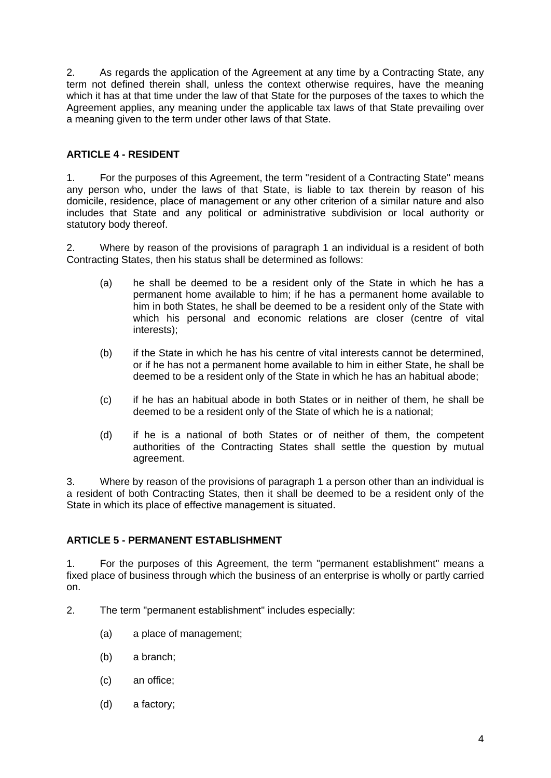2. As regards the application of the Agreement at any time by a Contracting State, any term not defined therein shall, unless the context otherwise requires, have the meaning which it has at that time under the law of that State for the purposes of the taxes to which the Agreement applies, any meaning under the applicable tax laws of that State prevailing over a meaning given to the term under other laws of that State.

# **ARTICLE 4 - RESIDENT**

1. For the purposes of this Agreement, the term "resident of a Contracting State" means any person who, under the laws of that State, is liable to tax therein by reason of his domicile, residence, place of management or any other criterion of a similar nature and also includes that State and any political or administrative subdivision or local authority or statutory body thereof.

2. Where by reason of the provisions of paragraph 1 an individual is a resident of both Contracting States, then his status shall be determined as follows:

- (a) he shall be deemed to be a resident only of the State in which he has a permanent home available to him; if he has a permanent home available to him in both States, he shall be deemed to be a resident only of the State with which his personal and economic relations are closer (centre of vital interests);
- (b) if the State in which he has his centre of vital interests cannot be determined, or if he has not a permanent home available to him in either State, he shall be deemed to be a resident only of the State in which he has an habitual abode;
- (c) if he has an habitual abode in both States or in neither of them, he shall be deemed to be a resident only of the State of which he is a national;
- (d) if he is a national of both States or of neither of them, the competent authorities of the Contracting States shall settle the question by mutual agreement.

3. Where by reason of the provisions of paragraph 1 a person other than an individual is a resident of both Contracting States, then it shall be deemed to be a resident only of the State in which its place of effective management is situated.

## **ARTICLE 5 - PERMANENT ESTABLISHMENT**

1. For the purposes of this Agreement, the term "permanent establishment" means a fixed place of business through which the business of an enterprise is wholly or partly carried on.

- 2. The term "permanent establishment" includes especially:
	- (a) a place of management;
	- (b) a branch;
	- (c) an office;
	- (d) a factory;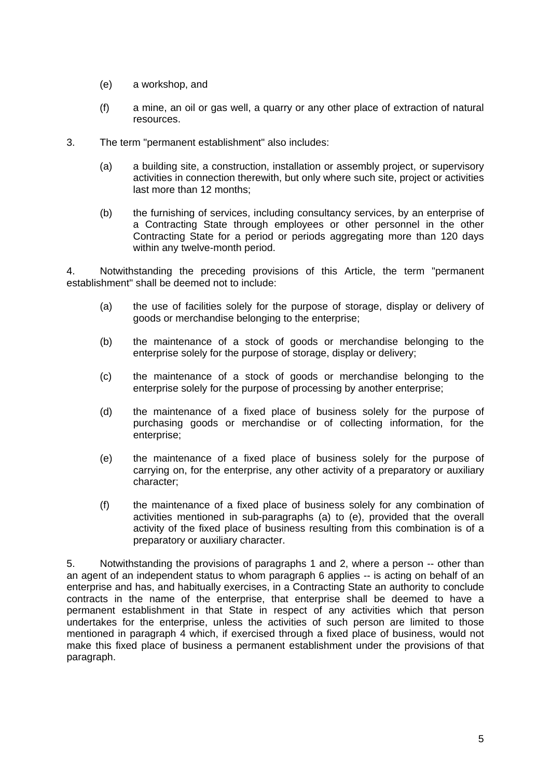- (e) a workshop, and
- (f) a mine, an oil or gas well, a quarry or any other place of extraction of natural resources.
- 3. The term "permanent establishment" also includes:
	- (a) a building site, a construction, installation or assembly project, or supervisory activities in connection therewith, but only where such site, project or activities last more than 12 months;
	- (b) the furnishing of services, including consultancy services, by an enterprise of a Contracting State through employees or other personnel in the other Contracting State for a period or periods aggregating more than 120 days within any twelve-month period.

4. Notwithstanding the preceding provisions of this Article, the term "permanent establishment" shall be deemed not to include:

- (a) the use of facilities solely for the purpose of storage, display or delivery of goods or merchandise belonging to the enterprise;
- (b) the maintenance of a stock of goods or merchandise belonging to the enterprise solely for the purpose of storage, display or delivery;
- (c) the maintenance of a stock of goods or merchandise belonging to the enterprise solely for the purpose of processing by another enterprise;
- (d) the maintenance of a fixed place of business solely for the purpose of purchasing goods or merchandise or of collecting information, for the enterprise;
- (e) the maintenance of a fixed place of business solely for the purpose of carrying on, for the enterprise, any other activity of a preparatory or auxiliary character;
- (f) the maintenance of a fixed place of business solely for any combination of activities mentioned in sub-paragraphs (a) to (e), provided that the overall activity of the fixed place of business resulting from this combination is of a preparatory or auxiliary character.

5. Notwithstanding the provisions of paragraphs 1 and 2, where a person -- other than an agent of an independent status to whom paragraph 6 applies -- is acting on behalf of an enterprise and has, and habitually exercises, in a Contracting State an authority to conclude contracts in the name of the enterprise, that enterprise shall be deemed to have a permanent establishment in that State in respect of any activities which that person undertakes for the enterprise, unless the activities of such person are limited to those mentioned in paragraph 4 which, if exercised through a fixed place of business, would not make this fixed place of business a permanent establishment under the provisions of that paragraph.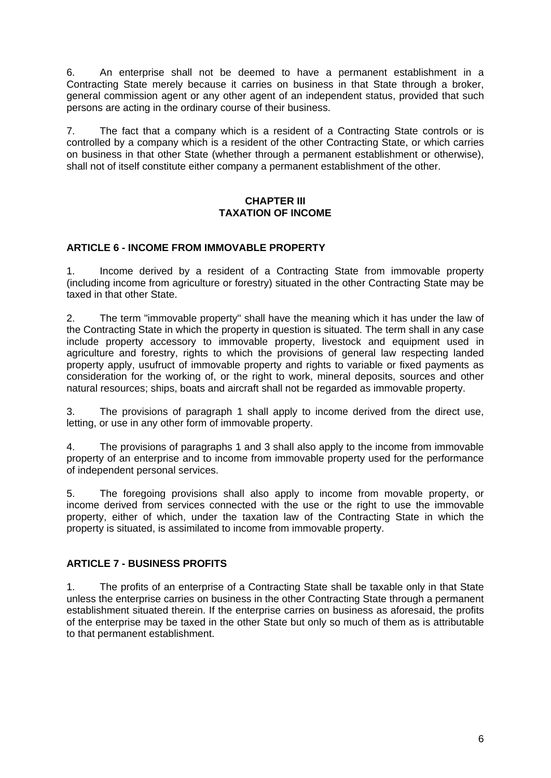6. An enterprise shall not be deemed to have a permanent establishment in a Contracting State merely because it carries on business in that State through a broker, general commission agent or any other agent of an independent status, provided that such persons are acting in the ordinary course of their business.

7. The fact that a company which is a resident of a Contracting State controls or is controlled by a company which is a resident of the other Contracting State, or which carries on business in that other State (whether through a permanent establishment or otherwise), shall not of itself constitute either company a permanent establishment of the other.

## **CHAPTER III TAXATION OF INCOME**

## **ARTICLE 6 - INCOME FROM IMMOVABLE PROPERTY**

1. Income derived by a resident of a Contracting State from immovable property (including income from agriculture or forestry) situated in the other Contracting State may be taxed in that other State.

2. The term "immovable property" shall have the meaning which it has under the law of the Contracting State in which the property in question is situated. The term shall in any case include property accessory to immovable property, livestock and equipment used in agriculture and forestry, rights to which the provisions of general law respecting landed property apply, usufruct of immovable property and rights to variable or fixed payments as consideration for the working of, or the right to work, mineral deposits, sources and other natural resources; ships, boats and aircraft shall not be regarded as immovable property.

3. The provisions of paragraph 1 shall apply to income derived from the direct use, letting, or use in any other form of immovable property.

4. The provisions of paragraphs 1 and 3 shall also apply to the income from immovable property of an enterprise and to income from immovable property used for the performance of independent personal services.

5. The foregoing provisions shall also apply to income from movable property, or income derived from services connected with the use or the right to use the immovable property, either of which, under the taxation law of the Contracting State in which the property is situated, is assimilated to income from immovable property.

#### **ARTICLE 7 - BUSINESS PROFITS**

1. The profits of an enterprise of a Contracting State shall be taxable only in that State unless the enterprise carries on business in the other Contracting State through a permanent establishment situated therein. If the enterprise carries on business as aforesaid, the profits of the enterprise may be taxed in the other State but only so much of them as is attributable to that permanent establishment.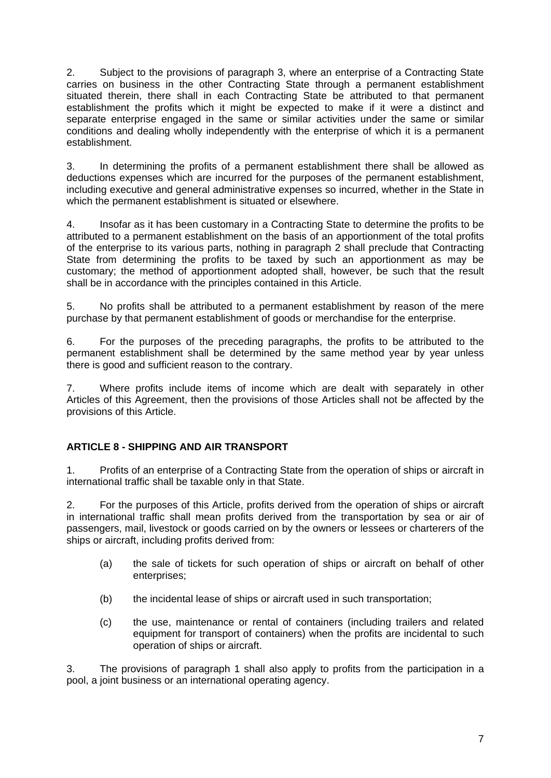2. Subject to the provisions of paragraph 3, where an enterprise of a Contracting State carries on business in the other Contracting State through a permanent establishment situated therein, there shall in each Contracting State be attributed to that permanent establishment the profits which it might be expected to make if it were a distinct and separate enterprise engaged in the same or similar activities under the same or similar conditions and dealing wholly independently with the enterprise of which it is a permanent establishment.

3. In determining the profits of a permanent establishment there shall be allowed as deductions expenses which are incurred for the purposes of the permanent establishment, including executive and general administrative expenses so incurred, whether in the State in which the permanent establishment is situated or elsewhere.

4. Insofar as it has been customary in a Contracting State to determine the profits to be attributed to a permanent establishment on the basis of an apportionment of the total profits of the enterprise to its various parts, nothing in paragraph 2 shall preclude that Contracting State from determining the profits to be taxed by such an apportionment as may be customary; the method of apportionment adopted shall, however, be such that the result shall be in accordance with the principles contained in this Article.

5. No profits shall be attributed to a permanent establishment by reason of the mere purchase by that permanent establishment of goods or merchandise for the enterprise.

6. For the purposes of the preceding paragraphs, the profits to be attributed to the permanent establishment shall be determined by the same method year by year unless there is good and sufficient reason to the contrary.

7. Where profits include items of income which are dealt with separately in other Articles of this Agreement, then the provisions of those Articles shall not be affected by the provisions of this Article.

## **ARTICLE 8 - SHIPPING AND AIR TRANSPORT**

1. Profits of an enterprise of a Contracting State from the operation of ships or aircraft in international traffic shall be taxable only in that State.

2. For the purposes of this Article, profits derived from the operation of ships or aircraft in international traffic shall mean profits derived from the transportation by sea or air of passengers, mail, livestock or goods carried on by the owners or lessees or charterers of the ships or aircraft, including profits derived from:

- (a) the sale of tickets for such operation of ships or aircraft on behalf of other enterprises;
- (b) the incidental lease of ships or aircraft used in such transportation;
- (c) the use, maintenance or rental of containers (including trailers and related equipment for transport of containers) when the profits are incidental to such operation of ships or aircraft.

3. The provisions of paragraph 1 shall also apply to profits from the participation in a pool, a joint business or an international operating agency.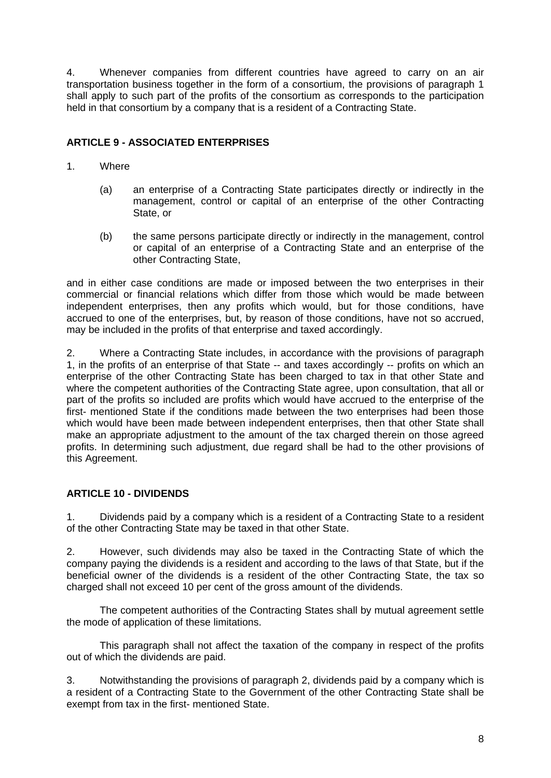4. Whenever companies from different countries have agreed to carry on an air transportation business together in the form of a consortium, the provisions of paragraph 1 shall apply to such part of the profits of the consortium as corresponds to the participation held in that consortium by a company that is a resident of a Contracting State.

# **ARTICLE 9 - ASSOCIATED ENTERPRISES**

- 1. Where
	- (a) an enterprise of a Contracting State participates directly or indirectly in the management, control or capital of an enterprise of the other Contracting State, or
	- (b) the same persons participate directly or indirectly in the management, control or capital of an enterprise of a Contracting State and an enterprise of the other Contracting State,

and in either case conditions are made or imposed between the two enterprises in their commercial or financial relations which differ from those which would be made between independent enterprises, then any profits which would, but for those conditions, have accrued to one of the enterprises, but, by reason of those conditions, have not so accrued, may be included in the profits of that enterprise and taxed accordingly.

2. Where a Contracting State includes, in accordance with the provisions of paragraph 1, in the profits of an enterprise of that State -- and taxes accordingly -- profits on which an enterprise of the other Contracting State has been charged to tax in that other State and where the competent authorities of the Contracting State agree, upon consultation, that all or part of the profits so included are profits which would have accrued to the enterprise of the first- mentioned State if the conditions made between the two enterprises had been those which would have been made between independent enterprises, then that other State shall make an appropriate adjustment to the amount of the tax charged therein on those agreed profits. In determining such adjustment, due regard shall be had to the other provisions of this Agreement.

## **ARTICLE 10 - DIVIDENDS**

1. Dividends paid by a company which is a resident of a Contracting State to a resident of the other Contracting State may be taxed in that other State.

2. However, such dividends may also be taxed in the Contracting State of which the company paying the dividends is a resident and according to the laws of that State, but if the beneficial owner of the dividends is a resident of the other Contracting State, the tax so charged shall not exceed 10 per cent of the gross amount of the dividends.

The competent authorities of the Contracting States shall by mutual agreement settle the mode of application of these limitations.

This paragraph shall not affect the taxation of the company in respect of the profits out of which the dividends are paid.

3. Notwithstanding the provisions of paragraph 2, dividends paid by a company which is a resident of a Contracting State to the Government of the other Contracting State shall be exempt from tax in the first- mentioned State.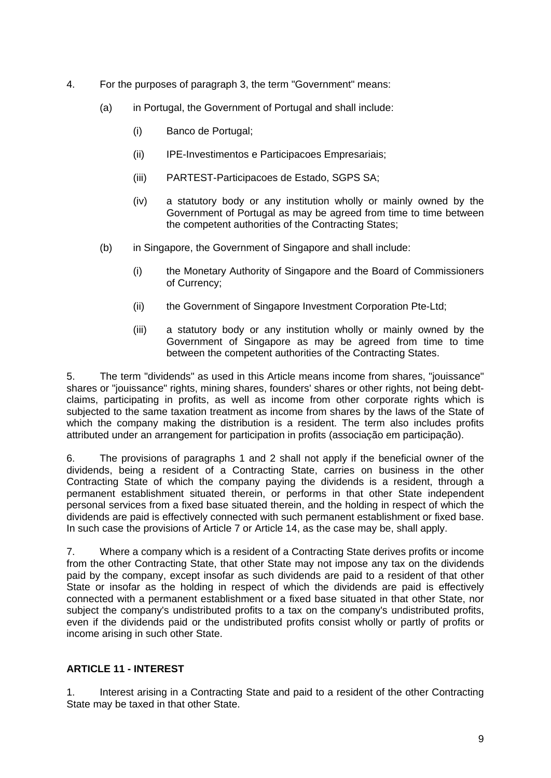- 4. For the purposes of paragraph 3, the term "Government" means:
	- (a) in Portugal, the Government of Portugal and shall include:
		- (i) Banco de Portugal;
		- (ii) IPE-Investimentos e Participacoes Empresariais;
		- (iii) PARTEST-Participacoes de Estado, SGPS SA;
		- (iv) a statutory body or any institution wholly or mainly owned by the Government of Portugal as may be agreed from time to time between the competent authorities of the Contracting States;
	- (b) in Singapore, the Government of Singapore and shall include:
		- (i) the Monetary Authority of Singapore and the Board of Commissioners of Currency;
		- (ii) the Government of Singapore Investment Corporation Pte-Ltd;
		- (iii) a statutory body or any institution wholly or mainly owned by the Government of Singapore as may be agreed from time to time between the competent authorities of the Contracting States.

5. The term "dividends" as used in this Article means income from shares, "jouissance" shares or "jouissance" rights, mining shares, founders' shares or other rights, not being debtclaims, participating in profits, as well as income from other corporate rights which is subjected to the same taxation treatment as income from shares by the laws of the State of which the company making the distribution is a resident. The term also includes profits attributed under an arrangement for participation in profits (associação em participação).

6. The provisions of paragraphs 1 and 2 shall not apply if the beneficial owner of the dividends, being a resident of a Contracting State, carries on business in the other Contracting State of which the company paying the dividends is a resident, through a permanent establishment situated therein, or performs in that other State independent personal services from a fixed base situated therein, and the holding in respect of which the dividends are paid is effectively connected with such permanent establishment or fixed base. In such case the provisions of Article 7 or Article 14, as the case may be, shall apply.

7. Where a company which is a resident of a Contracting State derives profits or income from the other Contracting State, that other State may not impose any tax on the dividends paid by the company, except insofar as such dividends are paid to a resident of that other State or insofar as the holding in respect of which the dividends are paid is effectively connected with a permanent establishment or a fixed base situated in that other State, nor subject the company's undistributed profits to a tax on the company's undistributed profits, even if the dividends paid or the undistributed profits consist wholly or partly of profits or income arising in such other State.

## **ARTICLE 11 - INTEREST**

1. Interest arising in a Contracting State and paid to a resident of the other Contracting State may be taxed in that other State.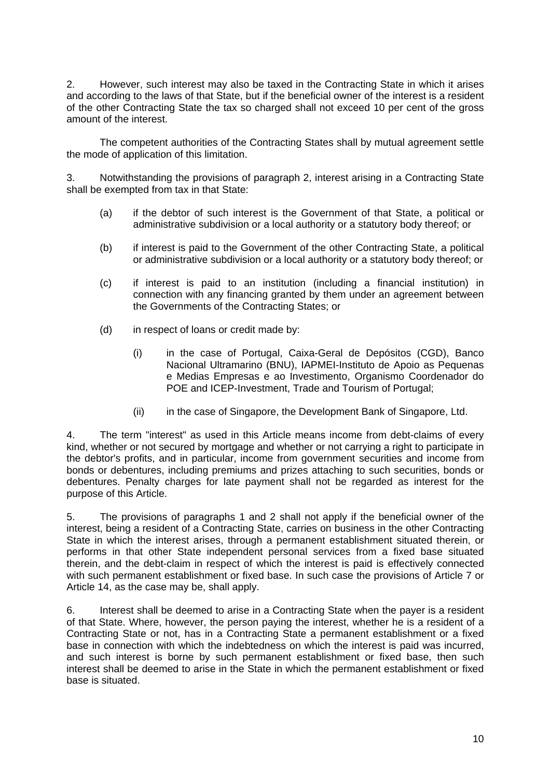2. However, such interest may also be taxed in the Contracting State in which it arises and according to the laws of that State, but if the beneficial owner of the interest is a resident of the other Contracting State the tax so charged shall not exceed 10 per cent of the gross amount of the interest.

The competent authorities of the Contracting States shall by mutual agreement settle the mode of application of this limitation.

3. Notwithstanding the provisions of paragraph 2, interest arising in a Contracting State shall be exempted from tax in that State:

- (a) if the debtor of such interest is the Government of that State, a political or administrative subdivision or a local authority or a statutory body thereof; or
- (b) if interest is paid to the Government of the other Contracting State, a political or administrative subdivision or a local authority or a statutory body thereof; or
- (c) if interest is paid to an institution (including a financial institution) in connection with any financing granted by them under an agreement between the Governments of the Contracting States; or
- (d) in respect of loans or credit made by:
	- (i) in the case of Portugal, Caixa-Geral de Depósitos (CGD), Banco Nacional Ultramarino (BNU), IAPMEI-Instituto de Apoio as Pequenas e Medias Empresas e ao Investimento, Organismo Coordenador do POE and ICEP-Investment, Trade and Tourism of Portugal;
	- (ii) in the case of Singapore, the Development Bank of Singapore, Ltd.

4. The term "interest" as used in this Article means income from debt-claims of every kind, whether or not secured by mortgage and whether or not carrying a right to participate in the debtor's profits, and in particular, income from government securities and income from bonds or debentures, including premiums and prizes attaching to such securities, bonds or debentures. Penalty charges for late payment shall not be regarded as interest for the purpose of this Article.

5. The provisions of paragraphs 1 and 2 shall not apply if the beneficial owner of the interest, being a resident of a Contracting State, carries on business in the other Contracting State in which the interest arises, through a permanent establishment situated therein, or performs in that other State independent personal services from a fixed base situated therein, and the debt-claim in respect of which the interest is paid is effectively connected with such permanent establishment or fixed base. In such case the provisions of Article 7 or Article 14, as the case may be, shall apply.

6. Interest shall be deemed to arise in a Contracting State when the payer is a resident of that State. Where, however, the person paying the interest, whether he is a resident of a Contracting State or not, has in a Contracting State a permanent establishment or a fixed base in connection with which the indebtedness on which the interest is paid was incurred, and such interest is borne by such permanent establishment or fixed base, then such interest shall be deemed to arise in the State in which the permanent establishment or fixed base is situated.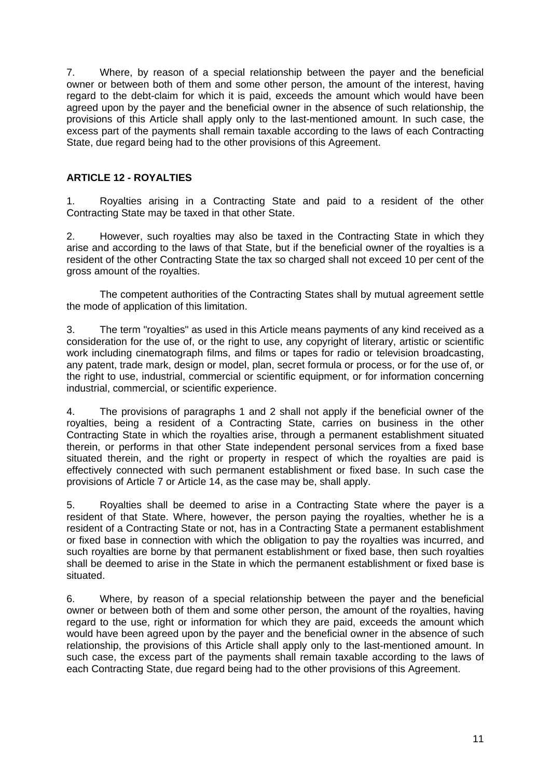7. Where, by reason of a special relationship between the payer and the beneficial owner or between both of them and some other person, the amount of the interest, having regard to the debt-claim for which it is paid, exceeds the amount which would have been agreed upon by the payer and the beneficial owner in the absence of such relationship, the provisions of this Article shall apply only to the last-mentioned amount. In such case, the excess part of the payments shall remain taxable according to the laws of each Contracting State, due regard being had to the other provisions of this Agreement.

## **ARTICLE 12 - ROYALTIES**

1. Royalties arising in a Contracting State and paid to a resident of the other Contracting State may be taxed in that other State.

2. However, such royalties may also be taxed in the Contracting State in which they arise and according to the laws of that State, but if the beneficial owner of the royalties is a resident of the other Contracting State the tax so charged shall not exceed 10 per cent of the gross amount of the royalties.

The competent authorities of the Contracting States shall by mutual agreement settle the mode of application of this limitation.

3. The term "royalties" as used in this Article means payments of any kind received as a consideration for the use of, or the right to use, any copyright of literary, artistic or scientific work including cinematograph films, and films or tapes for radio or television broadcasting, any patent, trade mark, design or model, plan, secret formula or process, or for the use of, or the right to use, industrial, commercial or scientific equipment, or for information concerning industrial, commercial, or scientific experience.

4. The provisions of paragraphs 1 and 2 shall not apply if the beneficial owner of the royalties, being a resident of a Contracting State, carries on business in the other Contracting State in which the royalties arise, through a permanent establishment situated therein, or performs in that other State independent personal services from a fixed base situated therein, and the right or property in respect of which the royalties are paid is effectively connected with such permanent establishment or fixed base. In such case the provisions of Article 7 or Article 14, as the case may be, shall apply.

5. Royalties shall be deemed to arise in a Contracting State where the payer is a resident of that State. Where, however, the person paying the royalties, whether he is a resident of a Contracting State or not, has in a Contracting State a permanent establishment or fixed base in connection with which the obligation to pay the royalties was incurred, and such royalties are borne by that permanent establishment or fixed base, then such royalties shall be deemed to arise in the State in which the permanent establishment or fixed base is situated.

6. Where, by reason of a special relationship between the payer and the beneficial owner or between both of them and some other person, the amount of the royalties, having regard to the use, right or information for which they are paid, exceeds the amount which would have been agreed upon by the payer and the beneficial owner in the absence of such relationship, the provisions of this Article shall apply only to the last-mentioned amount. In such case, the excess part of the payments shall remain taxable according to the laws of each Contracting State, due regard being had to the other provisions of this Agreement.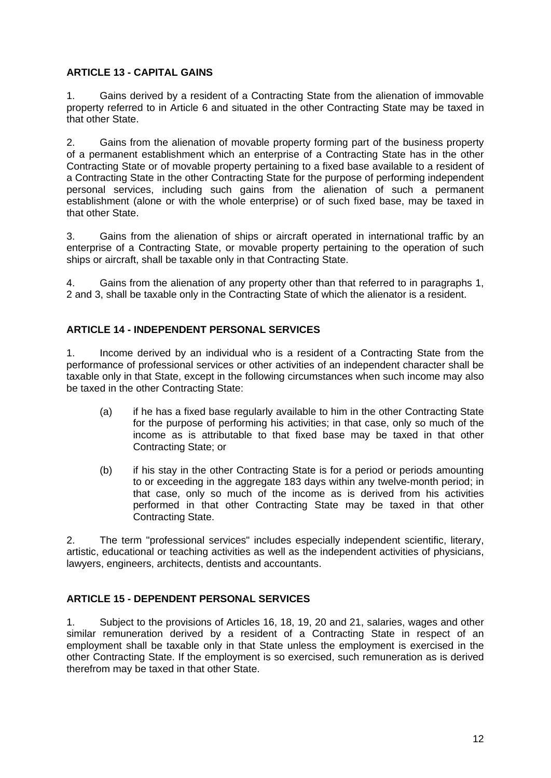## **ARTICLE 13 - CAPITAL GAINS**

1. Gains derived by a resident of a Contracting State from the alienation of immovable property referred to in Article 6 and situated in the other Contracting State may be taxed in that other State.

2. Gains from the alienation of movable property forming part of the business property of a permanent establishment which an enterprise of a Contracting State has in the other Contracting State or of movable property pertaining to a fixed base available to a resident of a Contracting State in the other Contracting State for the purpose of performing independent personal services, including such gains from the alienation of such a permanent establishment (alone or with the whole enterprise) or of such fixed base, may be taxed in that other State.

3. Gains from the alienation of ships or aircraft operated in international traffic by an enterprise of a Contracting State, or movable property pertaining to the operation of such ships or aircraft, shall be taxable only in that Contracting State.

4. Gains from the alienation of any property other than that referred to in paragraphs 1, 2 and 3, shall be taxable only in the Contracting State of which the alienator is a resident.

## **ARTICLE 14 - INDEPENDENT PERSONAL SERVICES**

1. Income derived by an individual who is a resident of a Contracting State from the performance of professional services or other activities of an independent character shall be taxable only in that State, except in the following circumstances when such income may also be taxed in the other Contracting State:

- (a) if he has a fixed base regularly available to him in the other Contracting State for the purpose of performing his activities; in that case, only so much of the income as is attributable to that fixed base may be taxed in that other Contracting State; or
- (b) if his stay in the other Contracting State is for a period or periods amounting to or exceeding in the aggregate 183 days within any twelve-month period; in that case, only so much of the income as is derived from his activities performed in that other Contracting State may be taxed in that other Contracting State.

2. The term "professional services" includes especially independent scientific, literary, artistic, educational or teaching activities as well as the independent activities of physicians, lawyers, engineers, architects, dentists and accountants.

#### **ARTICLE 15 - DEPENDENT PERSONAL SERVICES**

1. Subject to the provisions of Articles 16, 18, 19, 20 and 21, salaries, wages and other similar remuneration derived by a resident of a Contracting State in respect of an employment shall be taxable only in that State unless the employment is exercised in the other Contracting State. If the employment is so exercised, such remuneration as is derived therefrom may be taxed in that other State.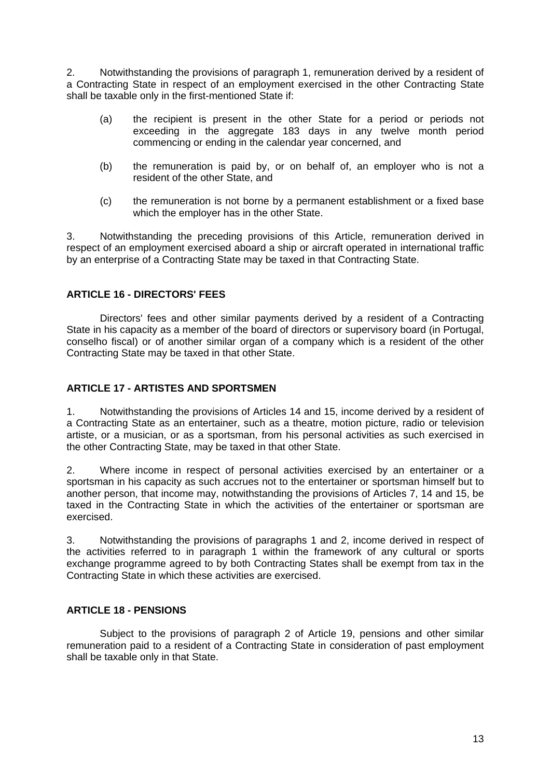2. Notwithstanding the provisions of paragraph 1, remuneration derived by a resident of a Contracting State in respect of an employment exercised in the other Contracting State shall be taxable only in the first-mentioned State if:

- (a) the recipient is present in the other State for a period or periods not exceeding in the aggregate 183 days in any twelve month period commencing or ending in the calendar year concerned, and
- (b) the remuneration is paid by, or on behalf of, an employer who is not a resident of the other State, and
- (c) the remuneration is not borne by a permanent establishment or a fixed base which the employer has in the other State.

3. Notwithstanding the preceding provisions of this Article, remuneration derived in respect of an employment exercised aboard a ship or aircraft operated in international traffic by an enterprise of a Contracting State may be taxed in that Contracting State.

#### **ARTICLE 16 - DIRECTORS' FEES**

Directors' fees and other similar payments derived by a resident of a Contracting State in his capacity as a member of the board of directors or supervisory board (in Portugal, conselho fiscal) or of another similar organ of a company which is a resident of the other Contracting State may be taxed in that other State.

## **ARTICLE 17 - ARTISTES AND SPORTSMEN**

1. Notwithstanding the provisions of Articles 14 and 15, income derived by a resident of a Contracting State as an entertainer, such as a theatre, motion picture, radio or television artiste, or a musician, or as a sportsman, from his personal activities as such exercised in the other Contracting State, may be taxed in that other State.

2. Where income in respect of personal activities exercised by an entertainer or a sportsman in his capacity as such accrues not to the entertainer or sportsman himself but to another person, that income may, notwithstanding the provisions of Articles 7, 14 and 15, be taxed in the Contracting State in which the activities of the entertainer or sportsman are exercised.

3. Notwithstanding the provisions of paragraphs 1 and 2, income derived in respect of the activities referred to in paragraph 1 within the framework of any cultural or sports exchange programme agreed to by both Contracting States shall be exempt from tax in the Contracting State in which these activities are exercised.

## **ARTICLE 18 - PENSIONS**

Subject to the provisions of paragraph 2 of Article 19, pensions and other similar remuneration paid to a resident of a Contracting State in consideration of past employment shall be taxable only in that State.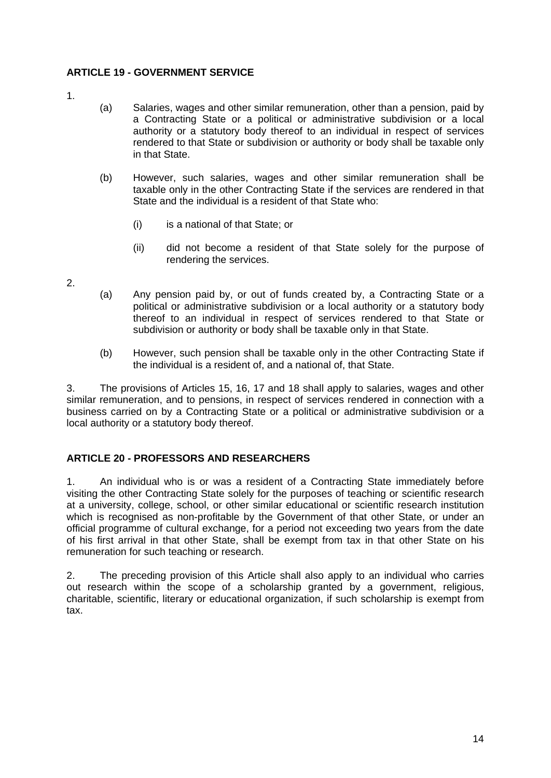## **ARTICLE 19 - GOVERNMENT SERVICE**

- 1.
- (a) Salaries, wages and other similar remuneration, other than a pension, paid by a Contracting State or a political or administrative subdivision or a local authority or a statutory body thereof to an individual in respect of services rendered to that State or subdivision or authority or body shall be taxable only in that State.
- (b) However, such salaries, wages and other similar remuneration shall be taxable only in the other Contracting State if the services are rendered in that State and the individual is a resident of that State who:
	- (i) is a national of that State; or
	- (ii) did not become a resident of that State solely for the purpose of rendering the services.
- 2.
- (a) Any pension paid by, or out of funds created by, a Contracting State or a political or administrative subdivision or a local authority or a statutory body thereof to an individual in respect of services rendered to that State or subdivision or authority or body shall be taxable only in that State.
- (b) However, such pension shall be taxable only in the other Contracting State if the individual is a resident of, and a national of, that State.

3. The provisions of Articles 15, 16, 17 and 18 shall apply to salaries, wages and other similar remuneration, and to pensions, in respect of services rendered in connection with a business carried on by a Contracting State or a political or administrative subdivision or a local authority or a statutory body thereof.

## **ARTICLE 20 - PROFESSORS AND RESEARCHERS**

1. An individual who is or was a resident of a Contracting State immediately before visiting the other Contracting State solely for the purposes of teaching or scientific research at a university, college, school, or other similar educational or scientific research institution which is recognised as non-profitable by the Government of that other State, or under an official programme of cultural exchange, for a period not exceeding two years from the date of his first arrival in that other State, shall be exempt from tax in that other State on his remuneration for such teaching or research.

2. The preceding provision of this Article shall also apply to an individual who carries out research within the scope of a scholarship granted by a government, religious, charitable, scientific, literary or educational organization, if such scholarship is exempt from tax.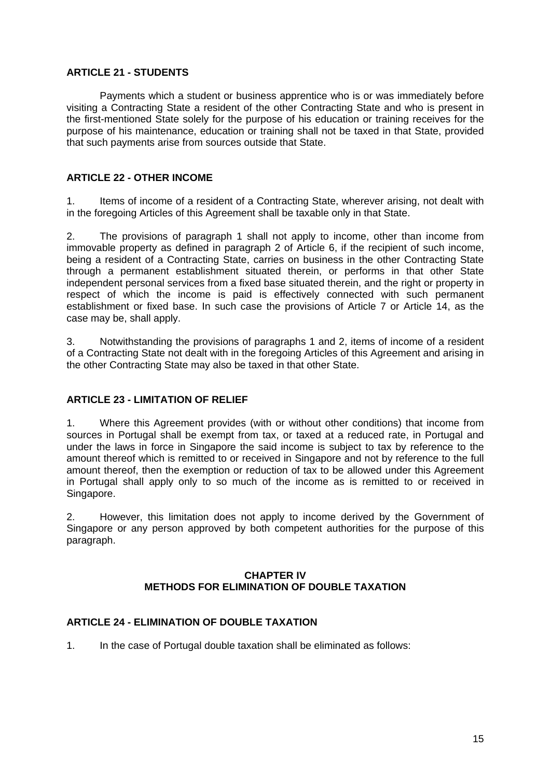#### **ARTICLE 21 - STUDENTS**

Payments which a student or business apprentice who is or was immediately before visiting a Contracting State a resident of the other Contracting State and who is present in the first-mentioned State solely for the purpose of his education or training receives for the purpose of his maintenance, education or training shall not be taxed in that State, provided that such payments arise from sources outside that State.

## **ARTICLE 22 - OTHER INCOME**

1. Items of income of a resident of a Contracting State, wherever arising, not dealt with in the foregoing Articles of this Agreement shall be taxable only in that State.

2. The provisions of paragraph 1 shall not apply to income, other than income from immovable property as defined in paragraph 2 of Article 6, if the recipient of such income, being a resident of a Contracting State, carries on business in the other Contracting State through a permanent establishment situated therein, or performs in that other State independent personal services from a fixed base situated therein, and the right or property in respect of which the income is paid is effectively connected with such permanent establishment or fixed base. In such case the provisions of Article 7 or Article 14, as the case may be, shall apply.

3. Notwithstanding the provisions of paragraphs 1 and 2, items of income of a resident of a Contracting State not dealt with in the foregoing Articles of this Agreement and arising in the other Contracting State may also be taxed in that other State.

#### **ARTICLE 23 - LIMITATION OF RELIEF**

1. Where this Agreement provides (with or without other conditions) that income from sources in Portugal shall be exempt from tax, or taxed at a reduced rate, in Portugal and under the laws in force in Singapore the said income is subject to tax by reference to the amount thereof which is remitted to or received in Singapore and not by reference to the full amount thereof, then the exemption or reduction of tax to be allowed under this Agreement in Portugal shall apply only to so much of the income as is remitted to or received in Singapore.

2. However, this limitation does not apply to income derived by the Government of Singapore or any person approved by both competent authorities for the purpose of this paragraph.

#### **CHAPTER IV METHODS FOR ELIMINATION OF DOUBLE TAXATION**

#### **ARTICLE 24 - ELIMINATION OF DOUBLE TAXATION**

1. In the case of Portugal double taxation shall be eliminated as follows: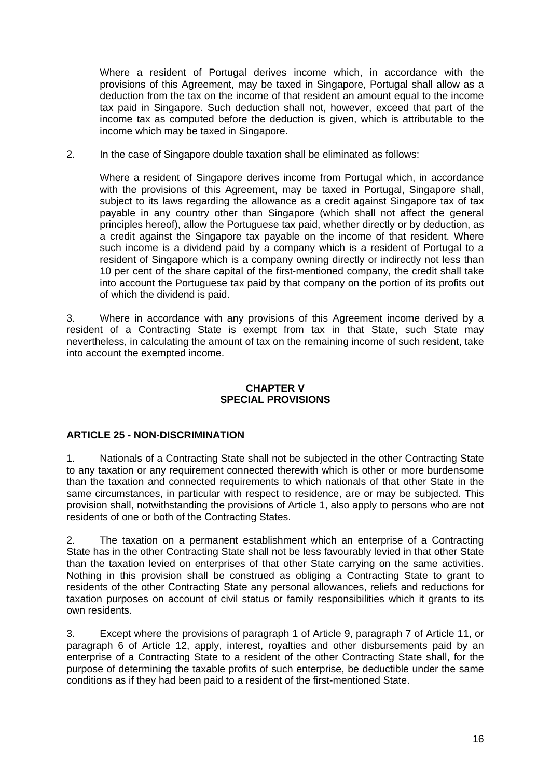Where a resident of Portugal derives income which, in accordance with the provisions of this Agreement, may be taxed in Singapore, Portugal shall allow as a deduction from the tax on the income of that resident an amount equal to the income tax paid in Singapore. Such deduction shall not, however, exceed that part of the income tax as computed before the deduction is given, which is attributable to the income which may be taxed in Singapore.

2. In the case of Singapore double taxation shall be eliminated as follows:

Where a resident of Singapore derives income from Portugal which, in accordance with the provisions of this Agreement, may be taxed in Portugal, Singapore shall, subject to its laws regarding the allowance as a credit against Singapore tax of tax payable in any country other than Singapore (which shall not affect the general principles hereof), allow the Portuguese tax paid, whether directly or by deduction, as a credit against the Singapore tax payable on the income of that resident. Where such income is a dividend paid by a company which is a resident of Portugal to a resident of Singapore which is a company owning directly or indirectly not less than 10 per cent of the share capital of the first-mentioned company, the credit shall take into account the Portuguese tax paid by that company on the portion of its profits out of which the dividend is paid.

3. Where in accordance with any provisions of this Agreement income derived by a resident of a Contracting State is exempt from tax in that State, such State may nevertheless, in calculating the amount of tax on the remaining income of such resident, take into account the exempted income.

## **CHAPTER V SPECIAL PROVISIONS**

## **ARTICLE 25 - NON-DISCRIMINATION**

1. Nationals of a Contracting State shall not be subjected in the other Contracting State to any taxation or any requirement connected therewith which is other or more burdensome than the taxation and connected requirements to which nationals of that other State in the same circumstances, in particular with respect to residence, are or may be subjected. This provision shall, notwithstanding the provisions of Article 1, also apply to persons who are not residents of one or both of the Contracting States.

2. The taxation on a permanent establishment which an enterprise of a Contracting State has in the other Contracting State shall not be less favourably levied in that other State than the taxation levied on enterprises of that other State carrying on the same activities. Nothing in this provision shall be construed as obliging a Contracting State to grant to residents of the other Contracting State any personal allowances, reliefs and reductions for taxation purposes on account of civil status or family responsibilities which it grants to its own residents.

3. Except where the provisions of paragraph 1 of Article 9, paragraph 7 of Article 11, or paragraph 6 of Article 12, apply, interest, royalties and other disbursements paid by an enterprise of a Contracting State to a resident of the other Contracting State shall, for the purpose of determining the taxable profits of such enterprise, be deductible under the same conditions as if they had been paid to a resident of the first-mentioned State.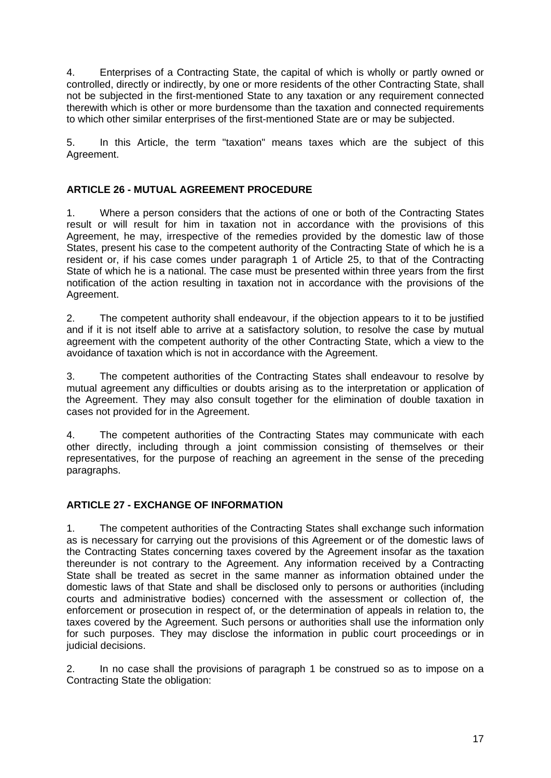4. Enterprises of a Contracting State, the capital of which is wholly or partly owned or controlled, directly or indirectly, by one or more residents of the other Contracting State, shall not be subjected in the first-mentioned State to any taxation or any requirement connected therewith which is other or more burdensome than the taxation and connected requirements to which other similar enterprises of the first-mentioned State are or may be subjected.

5. In this Article, the term "taxation" means taxes which are the subject of this Agreement.

## **ARTICLE 26 - MUTUAL AGREEMENT PROCEDURE**

1. Where a person considers that the actions of one or both of the Contracting States result or will result for him in taxation not in accordance with the provisions of this Agreement, he may, irrespective of the remedies provided by the domestic law of those States, present his case to the competent authority of the Contracting State of which he is a resident or, if his case comes under paragraph 1 of Article 25, to that of the Contracting State of which he is a national. The case must be presented within three years from the first notification of the action resulting in taxation not in accordance with the provisions of the Agreement.

2. The competent authority shall endeavour, if the objection appears to it to be justified and if it is not itself able to arrive at a satisfactory solution, to resolve the case by mutual agreement with the competent authority of the other Contracting State, which a view to the avoidance of taxation which is not in accordance with the Agreement.

3. The competent authorities of the Contracting States shall endeavour to resolve by mutual agreement any difficulties or doubts arising as to the interpretation or application of the Agreement. They may also consult together for the elimination of double taxation in cases not provided for in the Agreement.

4. The competent authorities of the Contracting States may communicate with each other directly, including through a joint commission consisting of themselves or their representatives, for the purpose of reaching an agreement in the sense of the preceding paragraphs.

#### **ARTICLE 27 - EXCHANGE OF INFORMATION**

1. The competent authorities of the Contracting States shall exchange such information as is necessary for carrying out the provisions of this Agreement or of the domestic laws of the Contracting States concerning taxes covered by the Agreement insofar as the taxation thereunder is not contrary to the Agreement. Any information received by a Contracting State shall be treated as secret in the same manner as information obtained under the domestic laws of that State and shall be disclosed only to persons or authorities (including courts and administrative bodies) concerned with the assessment or collection of, the enforcement or prosecution in respect of, or the determination of appeals in relation to, the taxes covered by the Agreement. Such persons or authorities shall use the information only for such purposes. They may disclose the information in public court proceedings or in judicial decisions.

2. In no case shall the provisions of paragraph 1 be construed so as to impose on a Contracting State the obligation: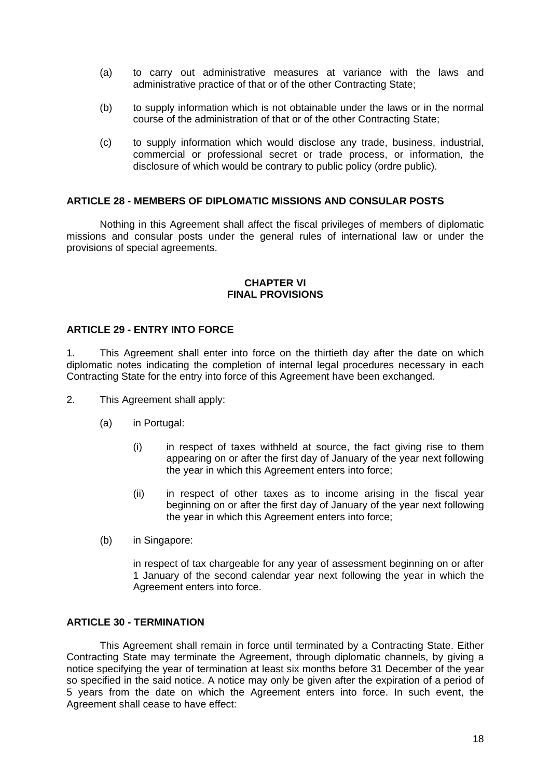- (a) to carry out administrative measures at variance with the laws and administrative practice of that or of the other Contracting State;
- (b) to supply information which is not obtainable under the laws or in the normal course of the administration of that or of the other Contracting State;
- (c) to supply information which would disclose any trade, business, industrial, commercial or professional secret or trade process, or information, the disclosure of which would be contrary to public policy (ordre public).

#### **ARTICLE 28 - MEMBERS OF DIPLOMATIC MISSIONS AND CONSULAR POSTS**

Nothing in this Agreement shall affect the fiscal privileges of members of diplomatic missions and consular posts under the general rules of international law or under the provisions of special agreements.

#### **CHAPTER VI FINAL PROVISIONS**

#### **ARTICLE 29 - ENTRY INTO FORCE**

1. This Agreement shall enter into force on the thirtieth day after the date on which diplomatic notes indicating the completion of internal legal procedures necessary in each Contracting State for the entry into force of this Agreement have been exchanged.

- 2. This Agreement shall apply:
	- (a) in Portugal:
		- (i) in respect of taxes withheld at source, the fact giving rise to them appearing on or after the first day of January of the year next following the year in which this Agreement enters into force;
		- (ii) in respect of other taxes as to income arising in the fiscal year beginning on or after the first day of January of the year next following the year in which this Agreement enters into force;
	- (b) in Singapore:

in respect of tax chargeable for any year of assessment beginning on or after 1 January of the second calendar year next following the year in which the Agreement enters into force.

#### **ARTICLE 30 - TERMINATION**

This Agreement shall remain in force until terminated by a Contracting State. Either Contracting State may terminate the Agreement, through diplomatic channels, by giving a notice specifying the year of termination at least six months before 31 December of the year so specified in the said notice. A notice may only be given after the expiration of a period of 5 years from the date on which the Agreement enters into force. In such event, the Agreement shall cease to have effect: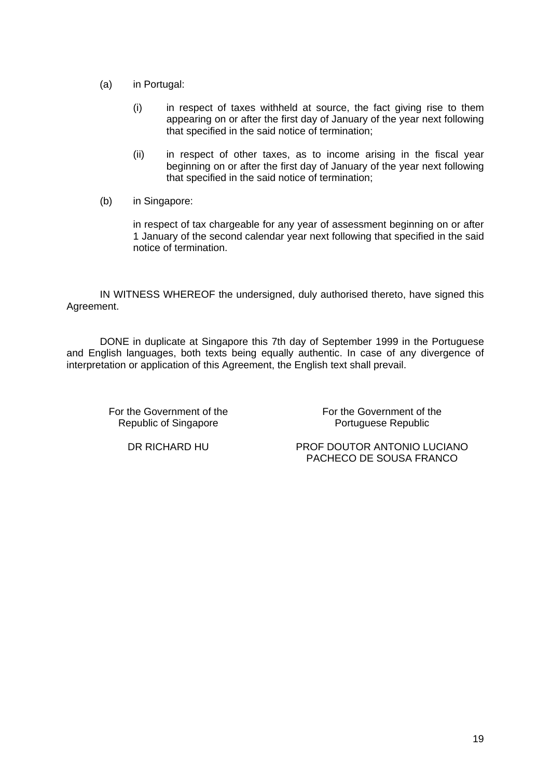- (a) in Portugal:
	- (i) in respect of taxes withheld at source, the fact giving rise to them appearing on or after the first day of January of the year next following that specified in the said notice of termination;
	- (ii) in respect of other taxes, as to income arising in the fiscal year beginning on or after the first day of January of the year next following that specified in the said notice of termination;
- (b) in Singapore:

in respect of tax chargeable for any year of assessment beginning on or after 1 January of the second calendar year next following that specified in the said notice of termination.

IN WITNESS WHEREOF the undersigned, duly authorised thereto, have signed this Agreement.

DONE in duplicate at Singapore this 7th day of September 1999 in the Portuguese and English languages, both texts being equally authentic. In case of any divergence of interpretation or application of this Agreement, the English text shall prevail.

For the Government of the Republic of Singapore

For the Government of the Portuguese Republic

DR RICHARD HU PROF DOUTOR ANTONIO LUCIANO PACHECO DE SOUSA FRANCO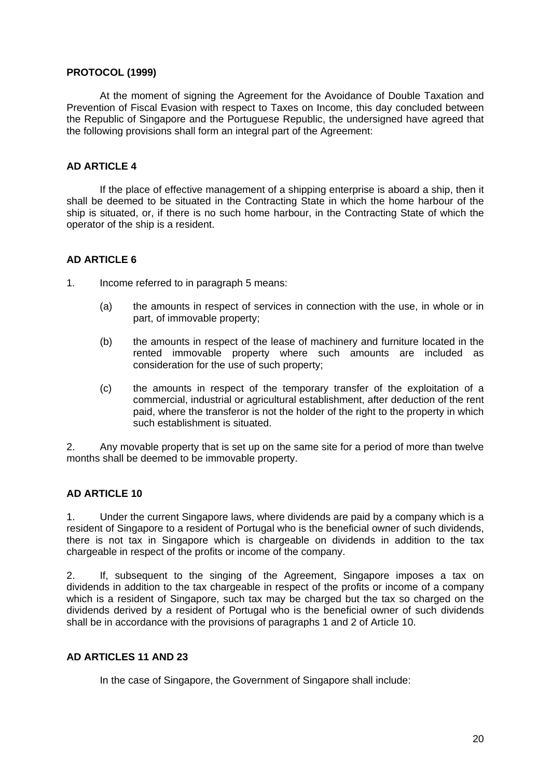#### **PROTOCOL (1999)**

At the moment of signing the Agreement for the Avoidance of Double Taxation and Prevention of Fiscal Evasion with respect to Taxes on Income, this day concluded between the Republic of Singapore and the Portuguese Republic, the undersigned have agreed that the following provisions shall form an integral part of the Agreement:

#### **AD ARTICLE 4**

If the place of effective management of a shipping enterprise is aboard a ship, then it shall be deemed to be situated in the Contracting State in which the home harbour of the ship is situated, or, if there is no such home harbour, in the Contracting State of which the operator of the ship is a resident.

## **AD ARTICLE 6**

1. Income referred to in paragraph 5 means:

- (a) the amounts in respect of services in connection with the use, in whole or in part, of immovable property;
- (b) the amounts in respect of the lease of machinery and furniture located in the rented immovable property where such amounts are included as consideration for the use of such property;
- (c) the amounts in respect of the temporary transfer of the exploitation of a commercial, industrial or agricultural establishment, after deduction of the rent paid, where the transferor is not the holder of the right to the property in which such establishment is situated.

2. Any movable property that is set up on the same site for a period of more than twelve months shall be deemed to be immovable property.

#### **AD ARTICLE 10**

1. Under the current Singapore laws, where dividends are paid by a company which is a resident of Singapore to a resident of Portugal who is the beneficial owner of such dividends, there is not tax in Singapore which is chargeable on dividends in addition to the tax chargeable in respect of the profits or income of the company.

2. If, subsequent to the singing of the Agreement, Singapore imposes a tax on dividends in addition to the tax chargeable in respect of the profits or income of a company which is a resident of Singapore, such tax may be charged but the tax so charged on the dividends derived by a resident of Portugal who is the beneficial owner of such dividends shall be in accordance with the provisions of paragraphs 1 and 2 of Article 10.

#### **AD ARTICLES 11 AND 23**

In the case of Singapore, the Government of Singapore shall include: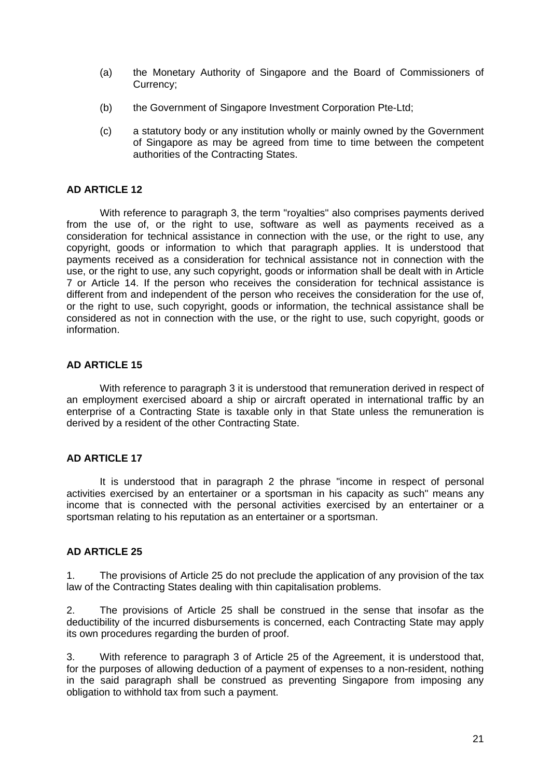- (a) the Monetary Authority of Singapore and the Board of Commissioners of Currency;
- (b) the Government of Singapore Investment Corporation Pte-Ltd;
- (c) a statutory body or any institution wholly or mainly owned by the Government of Singapore as may be agreed from time to time between the competent authorities of the Contracting States.

#### **AD ARTICLE 12**

With reference to paragraph 3, the term "royalties" also comprises payments derived from the use of, or the right to use, software as well as payments received as a consideration for technical assistance in connection with the use, or the right to use, any copyright, goods or information to which that paragraph applies. It is understood that payments received as a consideration for technical assistance not in connection with the use, or the right to use, any such copyright, goods or information shall be dealt with in Article 7 or Article 14. If the person who receives the consideration for technical assistance is different from and independent of the person who receives the consideration for the use of, or the right to use, such copyright, goods or information, the technical assistance shall be considered as not in connection with the use, or the right to use, such copyright, goods or information.

#### **AD ARTICLE 15**

With reference to paragraph 3 it is understood that remuneration derived in respect of an employment exercised aboard a ship or aircraft operated in international traffic by an enterprise of a Contracting State is taxable only in that State unless the remuneration is derived by a resident of the other Contracting State.

#### **AD ARTICLE 17**

It is understood that in paragraph 2 the phrase "income in respect of personal activities exercised by an entertainer or a sportsman in his capacity as such" means any income that is connected with the personal activities exercised by an entertainer or a sportsman relating to his reputation as an entertainer or a sportsman.

#### **AD ARTICLE 25**

1. The provisions of Article 25 do not preclude the application of any provision of the tax law of the Contracting States dealing with thin capitalisation problems.

2. The provisions of Article 25 shall be construed in the sense that insofar as the deductibility of the incurred disbursements is concerned, each Contracting State may apply its own procedures regarding the burden of proof.

3. With reference to paragraph 3 of Article 25 of the Agreement, it is understood that, for the purposes of allowing deduction of a payment of expenses to a non-resident, nothing in the said paragraph shall be construed as preventing Singapore from imposing any obligation to withhold tax from such a payment.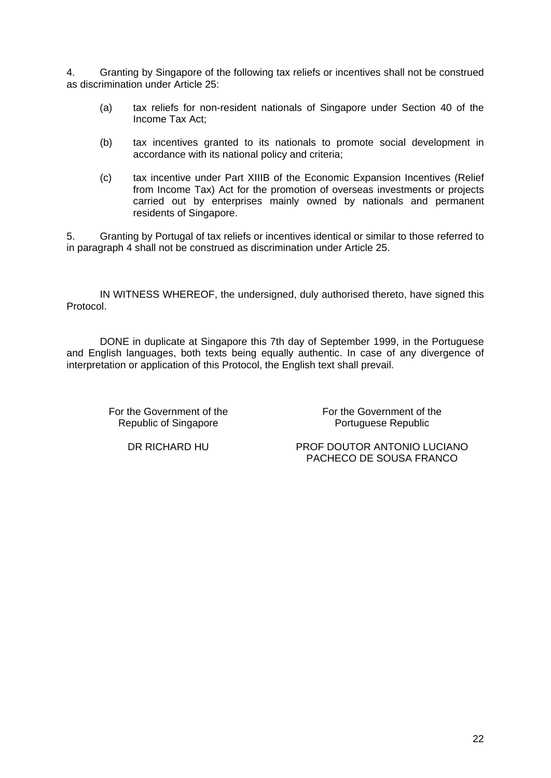4. Granting by Singapore of the following tax reliefs or incentives shall not be construed as discrimination under Article 25:

- (a) tax reliefs for non-resident nationals of Singapore under Section 40 of the Income Tax Act;
- (b) tax incentives granted to its nationals to promote social development in accordance with its national policy and criteria;
- (c) tax incentive under Part XIIIB of the Economic Expansion Incentives (Relief from Income Tax) Act for the promotion of overseas investments or projects carried out by enterprises mainly owned by nationals and permanent residents of Singapore.

5. Granting by Portugal of tax reliefs or incentives identical or similar to those referred to in paragraph 4 shall not be construed as discrimination under Article 25.

IN WITNESS WHEREOF, the undersigned, duly authorised thereto, have signed this Protocol.

DONE in duplicate at Singapore this 7th day of September 1999, in the Portuguese and English languages, both texts being equally authentic. In case of any divergence of interpretation or application of this Protocol, the English text shall prevail.

For the Government of the Republic of Singapore

For the Government of the Portuguese Republic

DR RICHARD HU PROF DOUTOR ANTONIO LUCIANO PACHECO DE SOUSA FRANCO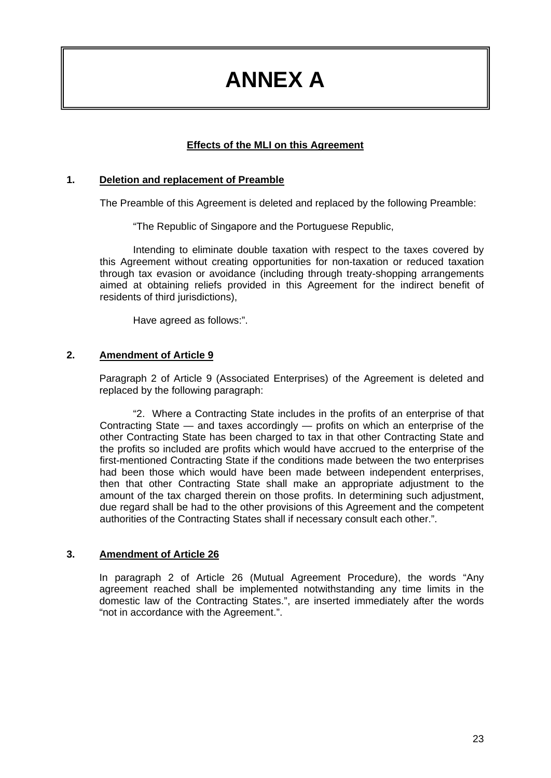# **ANNEX A**

## **Effects of the MLI on this Agreement**

#### **1. Deletion and replacement of Preamble**

The Preamble of this Agreement is deleted and replaced by the following Preamble:

"The Republic of Singapore and the Portuguese Republic,

Intending to eliminate double taxation with respect to the taxes covered by this Agreement without creating opportunities for non-taxation or reduced taxation through tax evasion or avoidance (including through treaty-shopping arrangements aimed at obtaining reliefs provided in this Agreement for the indirect benefit of residents of third jurisdictions),

Have agreed as follows:".

#### **2. Amendment of Article 9**

Paragraph 2 of Article 9 (Associated Enterprises) of the Agreement is deleted and replaced by the following paragraph:

"2. Where a Contracting State includes in the profits of an enterprise of that Contracting State — and taxes accordingly — profits on which an enterprise of the other Contracting State has been charged to tax in that other Contracting State and the profits so included are profits which would have accrued to the enterprise of the first-mentioned Contracting State if the conditions made between the two enterprises had been those which would have been made between independent enterprises, then that other Contracting State shall make an appropriate adjustment to the amount of the tax charged therein on those profits. In determining such adjustment, due regard shall be had to the other provisions of this Agreement and the competent authorities of the Contracting States shall if necessary consult each other.".

## **3. Amendment of Article 26**

In paragraph 2 of Article 26 (Mutual Agreement Procedure), the words "Any agreement reached shall be implemented notwithstanding any time limits in the domestic law of the Contracting States.", are inserted immediately after the words "not in accordance with the Agreement.".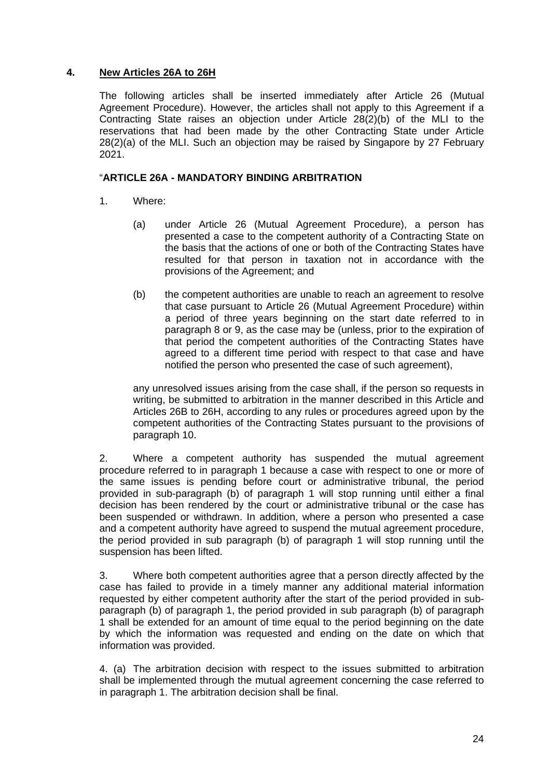## **4. New Articles 26A to 26H**

The following articles shall be inserted immediately after Article 26 (Mutual Agreement Procedure). However, the articles shall not apply to this Agreement if a Contracting State raises an objection under Article 28(2)(b) of the MLI to the reservations that had been made by the other Contracting State under Article 28(2)(a) of the MLI. Such an objection may be raised by Singapore by 27 February 2021.

## "**ARTICLE 26A - MANDATORY BINDING ARBITRATION**

- 1. Where:
	- (a) under Article 26 (Mutual Agreement Procedure), a person has presented a case to the competent authority of a Contracting State on the basis that the actions of one or both of the Contracting States have resulted for that person in taxation not in accordance with the provisions of the Agreement; and
	- (b) the competent authorities are unable to reach an agreement to resolve that case pursuant to Article 26 (Mutual Agreement Procedure) within a period of three years beginning on the start date referred to in paragraph 8 or 9, as the case may be (unless, prior to the expiration of that period the competent authorities of the Contracting States have agreed to a different time period with respect to that case and have notified the person who presented the case of such agreement),

any unresolved issues arising from the case shall, if the person so requests in writing, be submitted to arbitration in the manner described in this Article and Articles 26B to 26H, according to any rules or procedures agreed upon by the competent authorities of the Contracting States pursuant to the provisions of paragraph 10.

2. Where a competent authority has suspended the mutual agreement procedure referred to in paragraph 1 because a case with respect to one or more of the same issues is pending before court or administrative tribunal, the period provided in sub-paragraph (b) of paragraph 1 will stop running until either a final decision has been rendered by the court or administrative tribunal or the case has been suspended or withdrawn. In addition, where a person who presented a case and a competent authority have agreed to suspend the mutual agreement procedure, the period provided in sub paragraph (b) of paragraph 1 will stop running until the suspension has been lifted.

3. Where both competent authorities agree that a person directly affected by the case has failed to provide in a timely manner any additional material information requested by either competent authority after the start of the period provided in subparagraph (b) of paragraph 1, the period provided in sub paragraph (b) of paragraph 1 shall be extended for an amount of time equal to the period beginning on the date by which the information was requested and ending on the date on which that information was provided.

4. (a) The arbitration decision with respect to the issues submitted to arbitration shall be implemented through the mutual agreement concerning the case referred to in paragraph 1. The arbitration decision shall be final.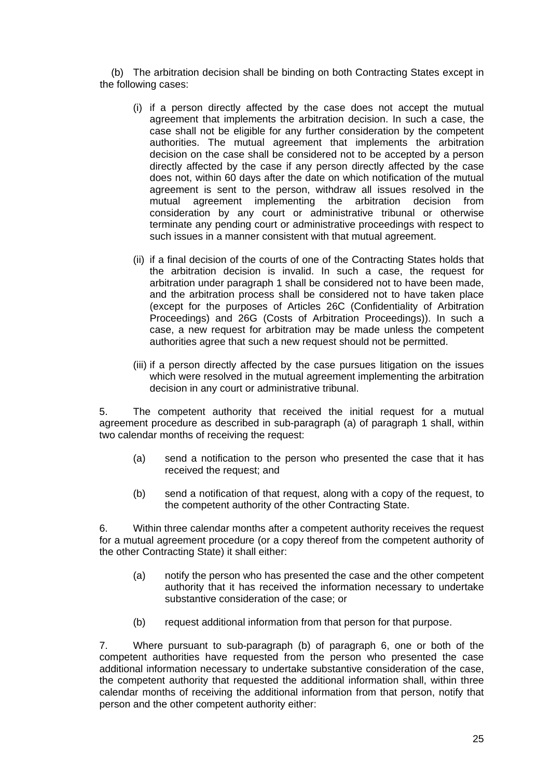(b) The arbitration decision shall be binding on both Contracting States except in the following cases:

- (i) if a person directly affected by the case does not accept the mutual agreement that implements the arbitration decision. In such a case, the case shall not be eligible for any further consideration by the competent authorities. The mutual agreement that implements the arbitration decision on the case shall be considered not to be accepted by a person directly affected by the case if any person directly affected by the case does not, within 60 days after the date on which notification of the mutual agreement is sent to the person, withdraw all issues resolved in the mutual agreement implementing the arbitration decision from consideration by any court or administrative tribunal or otherwise terminate any pending court or administrative proceedings with respect to such issues in a manner consistent with that mutual agreement.
- (ii) if a final decision of the courts of one of the Contracting States holds that the arbitration decision is invalid. In such a case, the request for arbitration under paragraph 1 shall be considered not to have been made, and the arbitration process shall be considered not to have taken place (except for the purposes of Articles 26C (Confidentiality of Arbitration Proceedings) and 26G (Costs of Arbitration Proceedings)). In such a case, a new request for arbitration may be made unless the competent authorities agree that such a new request should not be permitted.
- (iii) if a person directly affected by the case pursues litigation on the issues which were resolved in the mutual agreement implementing the arbitration decision in any court or administrative tribunal.

5. The competent authority that received the initial request for a mutual agreement procedure as described in sub-paragraph (a) of paragraph 1 shall, within two calendar months of receiving the request:

- (a) send a notification to the person who presented the case that it has received the request; and
- (b) send a notification of that request, along with a copy of the request, to the competent authority of the other Contracting State.

6. Within three calendar months after a competent authority receives the request for a mutual agreement procedure (or a copy thereof from the competent authority of the other Contracting State) it shall either:

- (a) notify the person who has presented the case and the other competent authority that it has received the information necessary to undertake substantive consideration of the case; or
- (b) request additional information from that person for that purpose.

7. Where pursuant to sub-paragraph (b) of paragraph 6, one or both of the competent authorities have requested from the person who presented the case additional information necessary to undertake substantive consideration of the case, the competent authority that requested the additional information shall, within three calendar months of receiving the additional information from that person, notify that person and the other competent authority either: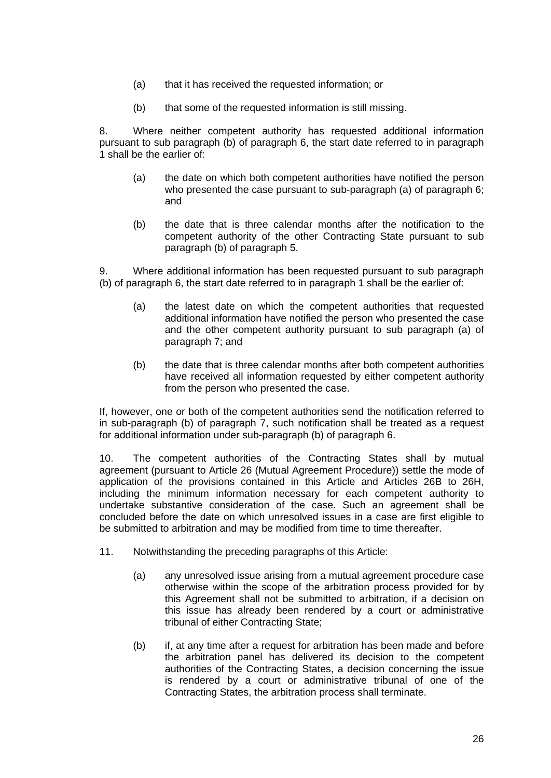- (a) that it has received the requested information; or
- (b) that some of the requested information is still missing.

8. Where neither competent authority has requested additional information pursuant to sub paragraph (b) of paragraph 6, the start date referred to in paragraph 1 shall be the earlier of:

- (a) the date on which both competent authorities have notified the person who presented the case pursuant to sub-paragraph (a) of paragraph 6; and
- (b) the date that is three calendar months after the notification to the competent authority of the other Contracting State pursuant to sub paragraph (b) of paragraph 5.

9. Where additional information has been requested pursuant to sub paragraph (b) of paragraph 6, the start date referred to in paragraph 1 shall be the earlier of:

- (a) the latest date on which the competent authorities that requested additional information have notified the person who presented the case and the other competent authority pursuant to sub paragraph (a) of paragraph 7; and
- (b) the date that is three calendar months after both competent authorities have received all information requested by either competent authority from the person who presented the case.

If, however, one or both of the competent authorities send the notification referred to in sub-paragraph (b) of paragraph 7, such notification shall be treated as a request for additional information under sub-paragraph (b) of paragraph 6.

10. The competent authorities of the Contracting States shall by mutual agreement (pursuant to Article 26 (Mutual Agreement Procedure)) settle the mode of application of the provisions contained in this Article and Articles 26B to 26H, including the minimum information necessary for each competent authority to undertake substantive consideration of the case. Such an agreement shall be concluded before the date on which unresolved issues in a case are first eligible to be submitted to arbitration and may be modified from time to time thereafter.

- 11. Notwithstanding the preceding paragraphs of this Article:
	- (a) any unresolved issue arising from a mutual agreement procedure case otherwise within the scope of the arbitration process provided for by this Agreement shall not be submitted to arbitration, if a decision on this issue has already been rendered by a court or administrative tribunal of either Contracting State;
	- (b) if, at any time after a request for arbitration has been made and before the arbitration panel has delivered its decision to the competent authorities of the Contracting States, a decision concerning the issue is rendered by a court or administrative tribunal of one of the Contracting States, the arbitration process shall terminate.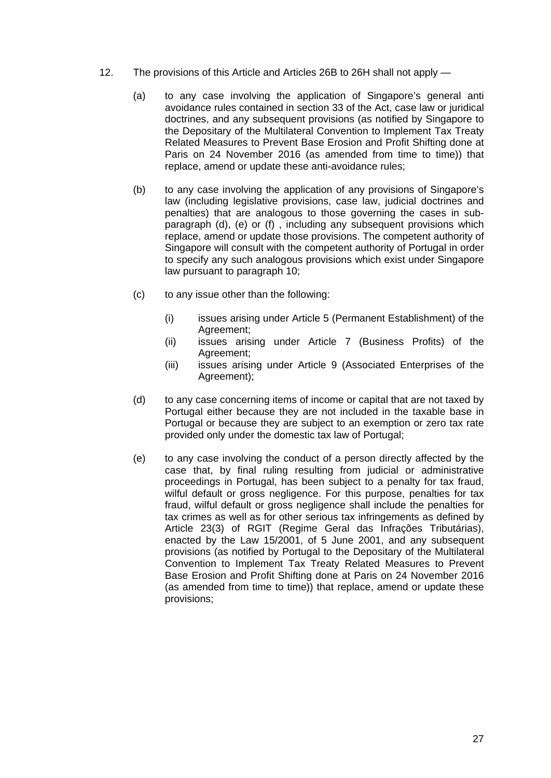- 12. The provisions of this Article and Articles 26B to 26H shall not apply
	- (a) to any case involving the application of Singapore's general anti avoidance rules contained in section 33 of the Act, case law or juridical doctrines, and any subsequent provisions (as notified by Singapore to the Depositary of the Multilateral Convention to Implement Tax Treaty Related Measures to Prevent Base Erosion and Profit Shifting done at Paris on 24 November 2016 (as amended from time to time)) that replace, amend or update these anti-avoidance rules;
	- (b) to any case involving the application of any provisions of Singapore's law (including legislative provisions, case law, judicial doctrines and penalties) that are analogous to those governing the cases in subparagraph (d), (e) or (f) , including any subsequent provisions which replace, amend or update those provisions. The competent authority of Singapore will consult with the competent authority of Portugal in order to specify any such analogous provisions which exist under Singapore law pursuant to paragraph 10;
	- (c) to any issue other than the following:
		- (i) issues arising under Article 5 (Permanent Establishment) of the Agreement;
		- (ii) issues arising under Article 7 (Business Profits) of the Agreement;
		- (iii) issues arising under Article 9 (Associated Enterprises of the Agreement);
	- (d) to any case concerning items of income or capital that are not taxed by Portugal either because they are not included in the taxable base in Portugal or because they are subject to an exemption or zero tax rate provided only under the domestic tax law of Portugal;
	- (e) to any case involving the conduct of a person directly affected by the case that, by final ruling resulting from judicial or administrative proceedings in Portugal, has been subject to a penalty for tax fraud, wilful default or gross negligence. For this purpose, penalties for tax fraud, wilful default or gross negligence shall include the penalties for tax crimes as well as for other serious tax infringements as defined by Article 23(3) of RGIT (Regime Geral das Infrações Tributárias), enacted by the Law 15/2001, of 5 June 2001, and any subsequent provisions (as notified by Portugal to the Depositary of the Multilateral Convention to Implement Tax Treaty Related Measures to Prevent Base Erosion and Profit Shifting done at Paris on 24 November 2016 (as amended from time to time)) that replace, amend or update these provisions;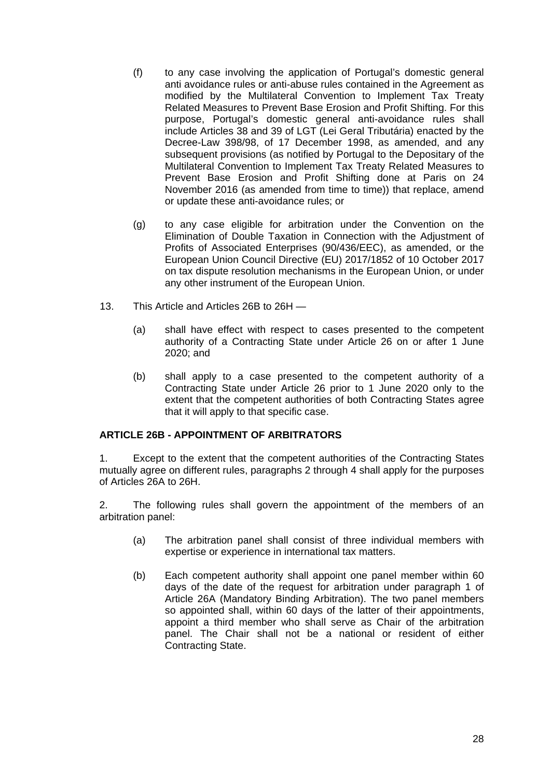- (f) to any case involving the application of Portugal's domestic general anti avoidance rules or anti-abuse rules contained in the Agreement as modified by the Multilateral Convention to Implement Tax Treaty Related Measures to Prevent Base Erosion and Profit Shifting. For this purpose, Portugal's domestic general anti-avoidance rules shall include Articles 38 and 39 of LGT (Lei Geral Tributária) enacted by the Decree-Law 398/98, of 17 December 1998, as amended, and any subsequent provisions (as notified by Portugal to the Depositary of the Multilateral Convention to Implement Tax Treaty Related Measures to Prevent Base Erosion and Profit Shifting done at Paris on 24 November 2016 (as amended from time to time)) that replace, amend or update these anti-avoidance rules; or
- (g) to any case eligible for arbitration under the Convention on the Elimination of Double Taxation in Connection with the Adjustment of Profits of Associated Enterprises (90/436/EEC), as amended, or the European Union Council Directive (EU) 2017/1852 of 10 October 2017 on tax dispute resolution mechanisms in the European Union, or under any other instrument of the European Union.
- 13. This Article and Articles 26B to 26H
	- (a) shall have effect with respect to cases presented to the competent authority of a Contracting State under Article 26 on or after 1 June 2020; and
	- (b) shall apply to a case presented to the competent authority of a Contracting State under Article 26 prior to 1 June 2020 only to the extent that the competent authorities of both Contracting States agree that it will apply to that specific case.

## **ARTICLE 26B - APPOINTMENT OF ARBITRATORS**

1. Except to the extent that the competent authorities of the Contracting States mutually agree on different rules, paragraphs 2 through 4 shall apply for the purposes of Articles 26A to 26H.

2. The following rules shall govern the appointment of the members of an arbitration panel:

- (a) The arbitration panel shall consist of three individual members with expertise or experience in international tax matters.
- (b) Each competent authority shall appoint one panel member within 60 days of the date of the request for arbitration under paragraph 1 of Article 26A (Mandatory Binding Arbitration). The two panel members so appointed shall, within 60 days of the latter of their appointments, appoint a third member who shall serve as Chair of the arbitration panel. The Chair shall not be a national or resident of either Contracting State.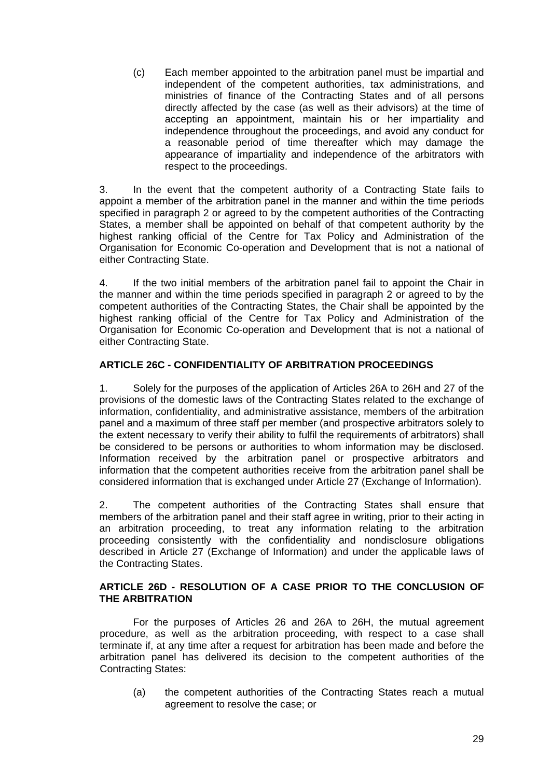(c) Each member appointed to the arbitration panel must be impartial and independent of the competent authorities, tax administrations, and ministries of finance of the Contracting States and of all persons directly affected by the case (as well as their advisors) at the time of accepting an appointment, maintain his or her impartiality and independence throughout the proceedings, and avoid any conduct for a reasonable period of time thereafter which may damage the appearance of impartiality and independence of the arbitrators with respect to the proceedings.

3. In the event that the competent authority of a Contracting State fails to appoint a member of the arbitration panel in the manner and within the time periods specified in paragraph 2 or agreed to by the competent authorities of the Contracting States, a member shall be appointed on behalf of that competent authority by the highest ranking official of the Centre for Tax Policy and Administration of the Organisation for Economic Co-operation and Development that is not a national of either Contracting State.

4. If the two initial members of the arbitration panel fail to appoint the Chair in the manner and within the time periods specified in paragraph 2 or agreed to by the competent authorities of the Contracting States, the Chair shall be appointed by the highest ranking official of the Centre for Tax Policy and Administration of the Organisation for Economic Co-operation and Development that is not a national of either Contracting State.

## **ARTICLE 26C - CONFIDENTIALITY OF ARBITRATION PROCEEDINGS**

1. Solely for the purposes of the application of Articles 26A to 26H and 27 of the provisions of the domestic laws of the Contracting States related to the exchange of information, confidentiality, and administrative assistance, members of the arbitration panel and a maximum of three staff per member (and prospective arbitrators solely to the extent necessary to verify their ability to fulfil the requirements of arbitrators) shall be considered to be persons or authorities to whom information may be disclosed. Information received by the arbitration panel or prospective arbitrators and information that the competent authorities receive from the arbitration panel shall be considered information that is exchanged under Article 27 (Exchange of Information).

2. The competent authorities of the Contracting States shall ensure that members of the arbitration panel and their staff agree in writing, prior to their acting in an arbitration proceeding, to treat any information relating to the arbitration proceeding consistently with the confidentiality and nondisclosure obligations described in Article 27 (Exchange of Information) and under the applicable laws of the Contracting States.

#### **ARTICLE 26D - RESOLUTION OF A CASE PRIOR TO THE CONCLUSION OF THE ARBITRATION**

For the purposes of Articles 26 and 26A to 26H, the mutual agreement procedure, as well as the arbitration proceeding, with respect to a case shall terminate if, at any time after a request for arbitration has been made and before the arbitration panel has delivered its decision to the competent authorities of the Contracting States:

(a) the competent authorities of the Contracting States reach a mutual agreement to resolve the case; or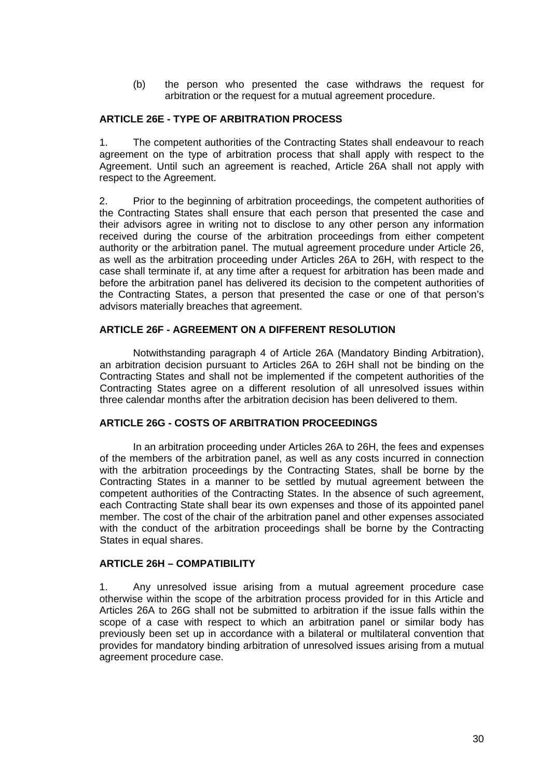(b) the person who presented the case withdraws the request for arbitration or the request for a mutual agreement procedure.

#### **ARTICLE 26E - TYPE OF ARBITRATION PROCESS**

1. The competent authorities of the Contracting States shall endeavour to reach agreement on the type of arbitration process that shall apply with respect to the Agreement. Until such an agreement is reached, Article 26A shall not apply with respect to the Agreement.

2. Prior to the beginning of arbitration proceedings, the competent authorities of the Contracting States shall ensure that each person that presented the case and their advisors agree in writing not to disclose to any other person any information received during the course of the arbitration proceedings from either competent authority or the arbitration panel. The mutual agreement procedure under Article 26, as well as the arbitration proceeding under Articles 26A to 26H, with respect to the case shall terminate if, at any time after a request for arbitration has been made and before the arbitration panel has delivered its decision to the competent authorities of the Contracting States, a person that presented the case or one of that person's advisors materially breaches that agreement.

#### **ARTICLE 26F - AGREEMENT ON A DIFFERENT RESOLUTION**

Notwithstanding paragraph 4 of Article 26A (Mandatory Binding Arbitration), an arbitration decision pursuant to Articles 26A to 26H shall not be binding on the Contracting States and shall not be implemented if the competent authorities of the Contracting States agree on a different resolution of all unresolved issues within three calendar months after the arbitration decision has been delivered to them.

#### **ARTICLE 26G - COSTS OF ARBITRATION PROCEEDINGS**

In an arbitration proceeding under Articles 26A to 26H, the fees and expenses of the members of the arbitration panel, as well as any costs incurred in connection with the arbitration proceedings by the Contracting States, shall be borne by the Contracting States in a manner to be settled by mutual agreement between the competent authorities of the Contracting States. In the absence of such agreement, each Contracting State shall bear its own expenses and those of its appointed panel member. The cost of the chair of the arbitration panel and other expenses associated with the conduct of the arbitration proceedings shall be borne by the Contracting States in equal shares.

#### **ARTICLE 26H – COMPATIBILITY**

1. Any unresolved issue arising from a mutual agreement procedure case otherwise within the scope of the arbitration process provided for in this Article and Articles 26A to 26G shall not be submitted to arbitration if the issue falls within the scope of a case with respect to which an arbitration panel or similar body has previously been set up in accordance with a bilateral or multilateral convention that provides for mandatory binding arbitration of unresolved issues arising from a mutual agreement procedure case.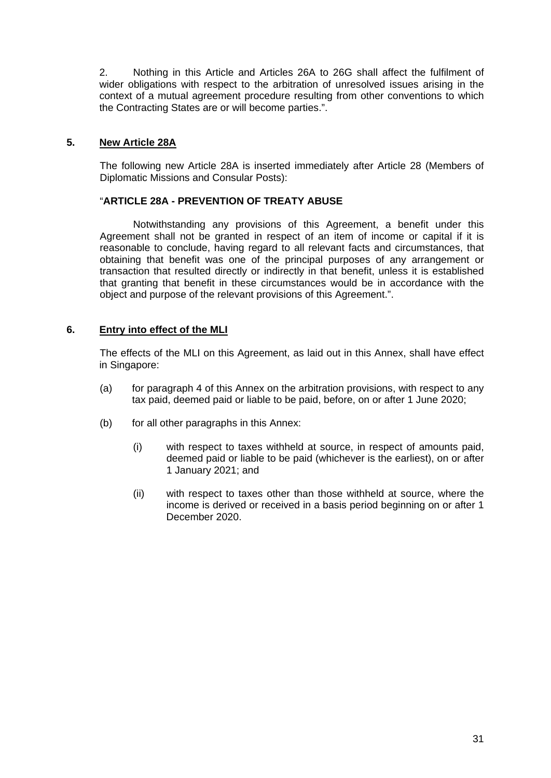2. Nothing in this Article and Articles 26A to 26G shall affect the fulfilment of wider obligations with respect to the arbitration of unresolved issues arising in the context of a mutual agreement procedure resulting from other conventions to which the Contracting States are or will become parties.".

#### **5. New Article 28A**

The following new Article 28A is inserted immediately after Article 28 (Members of Diplomatic Missions and Consular Posts):

#### "**ARTICLE 28A - PREVENTION OF TREATY ABUSE**

Notwithstanding any provisions of this Agreement, a benefit under this Agreement shall not be granted in respect of an item of income or capital if it is reasonable to conclude, having regard to all relevant facts and circumstances, that obtaining that benefit was one of the principal purposes of any arrangement or transaction that resulted directly or indirectly in that benefit, unless it is established that granting that benefit in these circumstances would be in accordance with the object and purpose of the relevant provisions of this Agreement.".

#### **6. Entry into effect of the MLI**

The effects of the MLI on this Agreement, as laid out in this Annex, shall have effect in Singapore:

- (a) for paragraph 4 of this Annex on the arbitration provisions, with respect to any tax paid, deemed paid or liable to be paid, before, on or after 1 June 2020;
- (b) for all other paragraphs in this Annex:
	- (i) with respect to taxes withheld at source, in respect of amounts paid, deemed paid or liable to be paid (whichever is the earliest), on or after 1 January 2021; and
	- (ii) with respect to taxes other than those withheld at source, where the income is derived or received in a basis period beginning on or after 1 December 2020.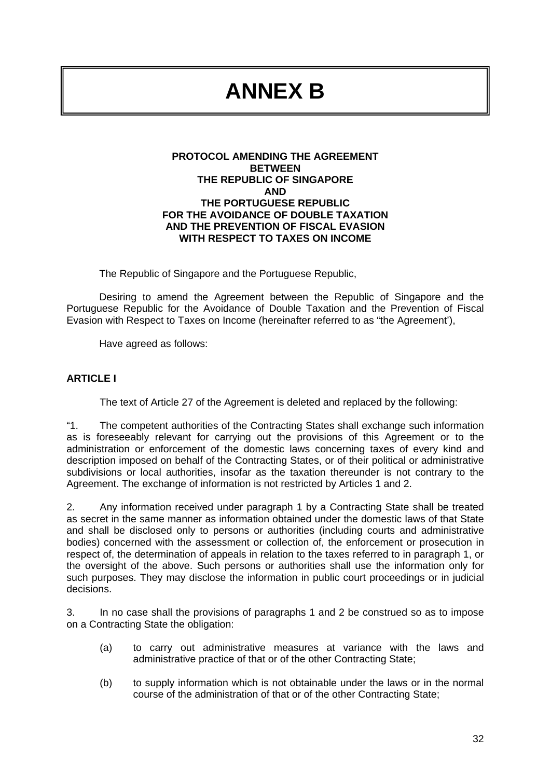# **ANNEX B**

#### **PROTOCOL AMENDING THE AGREEMENT BETWEEN THE REPUBLIC OF SINGAPORE AND THE PORTUGUESE REPUBLIC FOR THE AVOIDANCE OF DOUBLE TAXATION AND THE PREVENTION OF FISCAL EVASION WITH RESPECT TO TAXES ON INCOME**

The Republic of Singapore and the Portuguese Republic,

Desiring to amend the Agreement between the Republic of Singapore and the Portuguese Republic for the Avoidance of Double Taxation and the Prevention of Fiscal Evasion with Respect to Taxes on Income (hereinafter referred to as "the Agreement'),

Have agreed as follows:

## **ARTICLE I**

The text of Article 27 of the Agreement is deleted and replaced by the following:

"1. The competent authorities of the Contracting States shall exchange such information as is foreseeably relevant for carrying out the provisions of this Agreement or to the administration or enforcement of the domestic laws concerning taxes of every kind and description imposed on behalf of the Contracting States, or of their political or administrative subdivisions or local authorities, insofar as the taxation thereunder is not contrary to the Agreement. The exchange of information is not restricted by Articles 1 and 2.

2. Any information received under paragraph 1 by a Contracting State shall be treated as secret in the same manner as information obtained under the domestic laws of that State and shall be disclosed only to persons or authorities (including courts and administrative bodies) concerned with the assessment or collection of, the enforcement or prosecution in respect of, the determination of appeals in relation to the taxes referred to in paragraph 1, or the oversight of the above. Such persons or authorities shall use the information only for such purposes. They may disclose the information in public court proceedings or in judicial decisions.

3. In no case shall the provisions of paragraphs 1 and 2 be construed so as to impose on a Contracting State the obligation:

- (a) to carry out administrative measures at variance with the laws and administrative practice of that or of the other Contracting State;
- (b) to supply information which is not obtainable under the laws or in the normal course of the administration of that or of the other Contracting State;